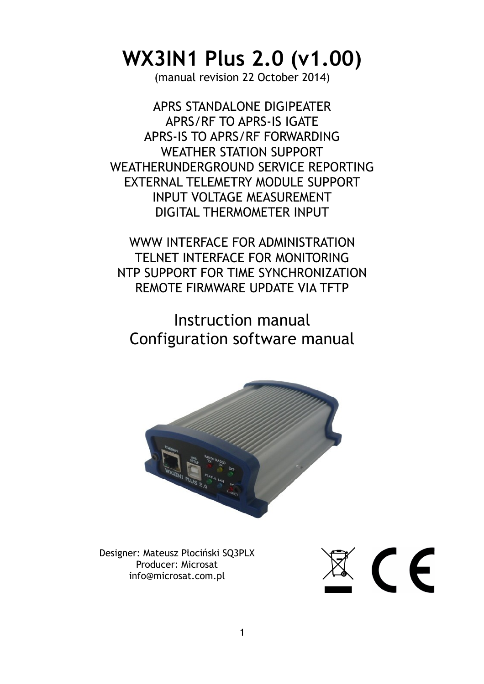# **WX3IN1 Plus 2.0 (v1.00)**

(manual revision 22 October 2014)

APRS STANDALONE DIGIPEATER APRS/RF TO APRS-IS IGATE APRS-IS TO APRS/RF FORWARDING WEATHER STATION SUPPORT WEATHERUNDERGROUND SERVICE REPORTING EXTERNAL TELEMETRY MODULE SUPPORT INPUT VOLTAGE MEASUREMENT DIGITAL THERMOMETER INPUT

WWW INTERFACE FOR ADMINISTRATION TELNET INTERFACE FOR MONITORING NTP SUPPORT FOR TIME SYNCHRONIZATION REMOTE FIRMWARE UPDATE VIA TFTP

# Instruction manual Configuration software manual



Designer: Mateusz Płociński SQ3PLX Producer: Microsat info@microsat.com.pl

 $\mathbb{R}$  (  $\in$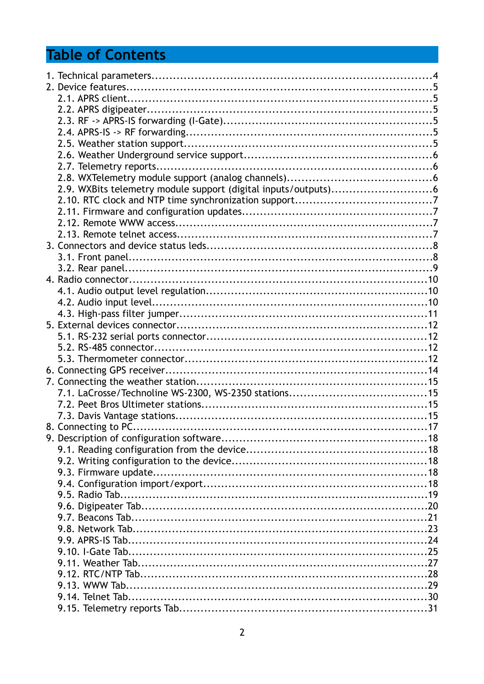# **Table of Contents**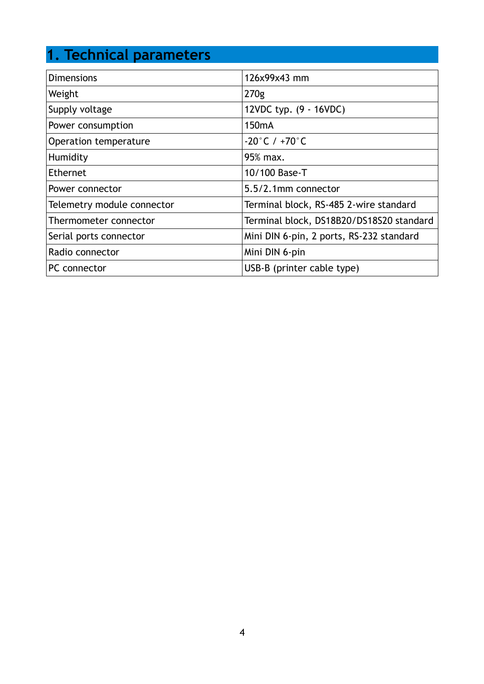# **1. Technical parameters**

| <b>Dimensions</b>          | 126x99x43 mm                             |
|----------------------------|------------------------------------------|
| Weight                     | 270g                                     |
| Supply voltage             | 12VDC typ. (9 - 16VDC)                   |
| Power consumption          | 150 <sub>m</sub> A                       |
| Operation temperature      | $-20^{\circ}$ C / $+70^{\circ}$ C        |
| Humidity                   | 95% max.                                 |
| Ethernet                   | 10/100 Base-T                            |
| Power connector            | 5.5/2.1mm connector                      |
| Telemetry module connector | Terminal block, RS-485 2-wire standard   |
| Thermometer connector      | Terminal block, DS18B20/DS18S20 standard |
| Serial ports connector     | Mini DIN 6-pin, 2 ports, RS-232 standard |
| Radio connector            | Mini DIN 6-pin                           |
| <b>PC</b> connector        | USB-B (printer cable type)               |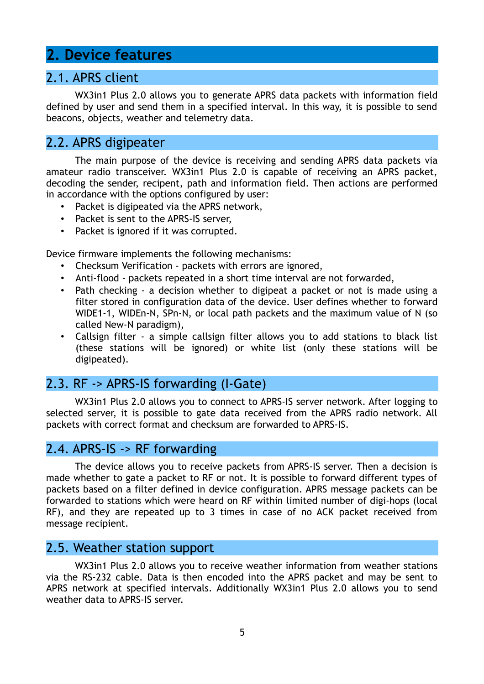### **2. Device features**

### 2.1. APRS client

WX3in1 Plus 2.0 allows you to generate APRS data packets with information field defined by user and send them in a specified interval. In this way, it is possible to send beacons, objects, weather and telemetry data.

### 2.2. APRS digipeater

The main purpose of the device is receiving and sending APRS data packets via amateur radio transceiver. WX3in1 Plus 2.0 is capable of receiving an APRS packet, decoding the sender, recipent, path and information field. Then actions are performed in accordance with the options configured by user:

- Packet is digipeated via the APRS network,
- Packet is sent to the APRS-IS server,
- Packet is ignored if it was corrupted.

Device firmware implements the following mechanisms:

- Checksum Verification packets with errors are ignored,
- Anti-flood packets repeated in a short time interval are not forwarded,
- Path checking a decision whether to digipeat a packet or not is made using a filter stored in configuration data of the device. User defines whether to forward WIDE1-1, WIDEn-N, SPn-N, or local path packets and the maximum value of N (so called New-N paradigm),
- Callsign filter a simple callsign filter allows you to add stations to black list (these stations will be ignored) or white list (only these stations will be digipeated).

### 2.3. RF -> APRS-IS forwarding (I-Gate)

WX3in1 Plus 2.0 allows you to connect to APRS-IS server network. After logging to selected server, it is possible to gate data received from the APRS radio network. All packets with correct format and checksum are forwarded to APRS-IS.

### 2.4. APRS-IS -> RF forwarding

The device allows you to receive packets from APRS-IS server. Then a decision is made whether to gate a packet to RF or not. It is possible to forward different types of packets based on a filter defined in device configuration. APRS message packets can be forwarded to stations which were heard on RF within limited number of digi-hops (local RF), and they are repeated up to 3 times in case of no ACK packet received from message recipient.

#### 2.5. Weather station support

WX3in1 Plus 2.0 allows you to receive weather information from weather stations via the RS-232 cable. Data is then encoded into the APRS packet and may be sent to APRS network at specified intervals. Additionally WX3in1 Plus 2.0 allows you to send weather data to APRS-IS server.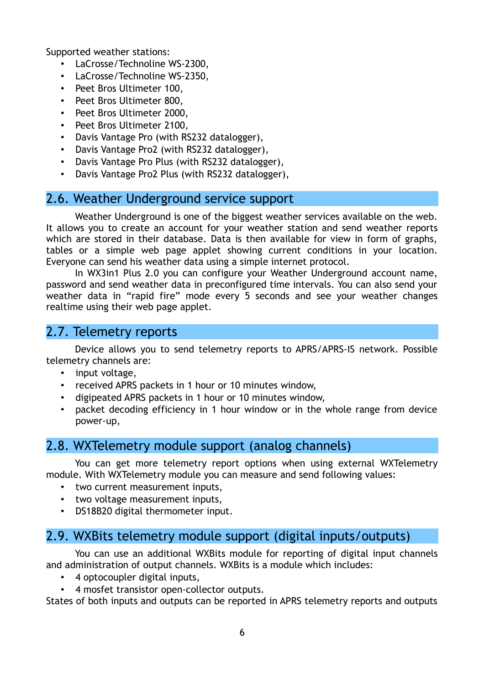Supported weather stations:

- LaCrosse/Technoline WS-2300,
- LaCrosse/Technoline WS-2350,
- Peet Bros Ultimeter 100,
- Peet Bros Ultimeter 800,
- Peet Bros Ultimeter 2000,
- Peet Bros Ultimeter 2100,
- Davis Vantage Pro (with RS232 datalogger),
- Davis Vantage Pro2 (with RS232 datalogger),
- Davis Vantage Pro Plus (with RS232 datalogger),
- Davis Vantage Pro2 Plus (with RS232 datalogger),

### 2.6. Weather Underground service support

Weather Underground is one of the biggest weather services available on the web. It allows you to create an account for your weather station and send weather reports which are stored in their database. Data is then available for view in form of graphs, tables or a simple web page applet showing current conditions in your location. Everyone can send his weather data using a simple internet protocol.

In WX3in1 Plus 2.0 you can configure your Weather Underground account name, password and send weather data in preconfigured time intervals. You can also send your weather data in "rapid fire" mode every 5 seconds and see your weather changes realtime using their web page applet.

### 2.7. Telemetry reports

Device allows you to send telemetry reports to APRS/APRS-IS network. Possible telemetry channels are:

- input voltage,
- received APRS packets in 1 hour or 10 minutes window,
- digipeated APRS packets in 1 hour or 10 minutes window,
- packet decoding efficiency in 1 hour window or in the whole range from device power-up,

### 2.8. WXTelemetry module support (analog channels)

You can get more telemetry report options when using external WXTelemetry module. With WXTelemetry module you can measure and send following values:

- two current measurement inputs,
- two voltage measurement inputs,
- DS18B20 digital thermometer input.

### 2.9. WXBits telemetry module support (digital inputs/outputs)

You can use an additional WXBits module for reporting of digital input channels and administration of output channels. WXBits is a module which includes:

- 4 optocoupler digital inputs,
- 4 mosfet transistor open-collector outputs.

States of both inputs and outputs can be reported in APRS telemetry reports and outputs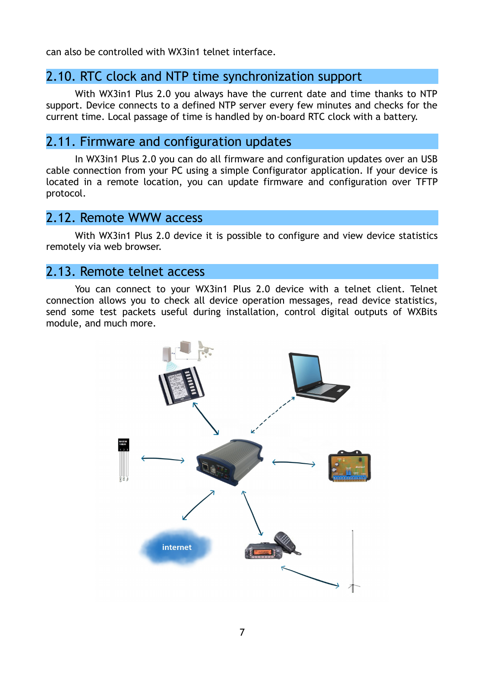can also be controlled with WX3in1 telnet interface.

### 2.10. RTC clock and NTP time synchronization support

With WX3in1 Plus 2.0 you always have the current date and time thanks to NTP support. Device connects to a defined NTP server every few minutes and checks for the current time. Local passage of time is handled by on-board RTC clock with a battery.

### 2.11. Firmware and configuration updates

In WX3in1 Plus 2.0 you can do all firmware and configuration updates over an USB cable connection from your PC using a simple Configurator application. If your device is located in a remote location, you can update firmware and configuration over TFTP protocol.

#### 2.12. Remote WWW access

With WX3in1 Plus 2.0 device it is possible to configure and view device statistics remotely via web browser.

### 2.13. Remote telnet access

You can connect to your WX3in1 Plus 2.0 device with a telnet client. Telnet connection allows you to check all device operation messages, read device statistics, send some test packets useful during installation, control digital outputs of WXBits module, and much more.

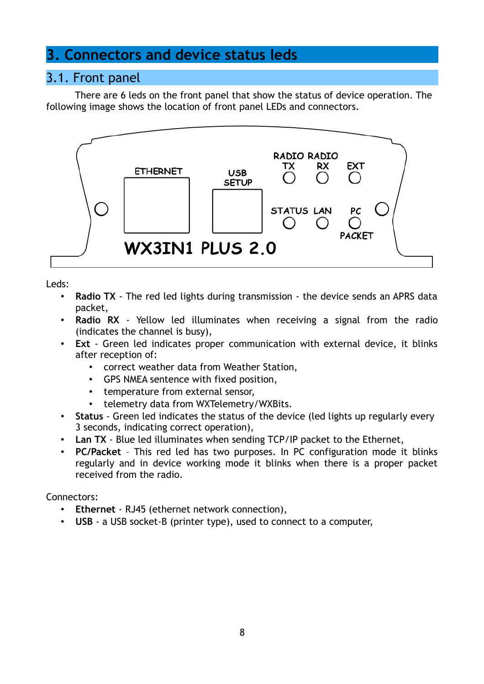### **3. Connectors and device status leds**

### 3.1. Front panel

There are 6 leds on the front panel that show the status of device operation. The following image shows the location of front panel LEDs and connectors.



Leds:

- **Radio TX**  The red led lights during transmission the device sends an APRS data packet,
- **Radio RX** Yellow led illuminates when receiving a signal from the radio (indicates the channel is busy),
- **Ext** Green led indicates proper communication with external device, it blinks after reception of:
	- correct weather data from Weather Station,
	- GPS NMEA sentence with fixed position,
	- temperature from external sensor,
	- telemetry data from WXTelemetry/WXBits.
- **Status** Green led indicates the status of the device (led lights up regularly every 3 seconds, indicating correct operation),
- **Lan TX** Blue led illuminates when sending TCP/IP packet to the Ethernet,
- **PC/Packet** This red led has two purposes. In PC configuration mode it blinks regularly and in device working mode it blinks when there is a proper packet received from the radio.

Connectors:

- **Ethernet** RJ45 (ethernet network connection),
- **USB** a USB socket-B (printer type), used to connect to a computer,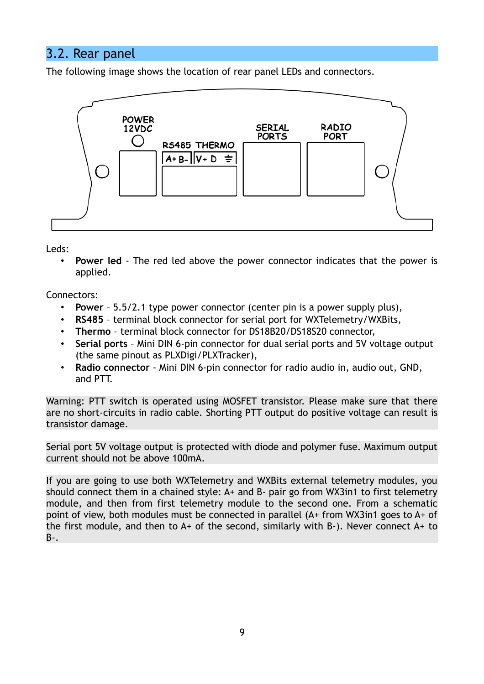### 3.2. Rear panel

The following image shows the location of rear panel LEDs and connectors.



Leds:

• **Power led** - The red led above the power connector indicates that the power is applied.

Connectors:

- **Power** 5.5/2.1 type power connector (center pin is a power supply plus),
- **RS485** terminal block connector for serial port for WXTelemetry/WXBits,
- **Thermo** terminal block connector for DS18B20/DS18S20 connector,
- **Serial ports**  Mini DIN 6-pin connector for dual serial ports and 5V voltage output (the same pinout as PLXDigi/PLXTracker),
- **Radio connector** Mini DIN 6-pin connector for radio audio in, audio out, GND, and PTT.

Warning: PTT switch is operated using MOSFET transistor. Please make sure that there are no short-circuits in radio cable. Shorting PTT output do positive voltage can result is transistor damage.

Serial port 5V voltage output is protected with diode and polymer fuse. Maximum output current should not be above 100mA.

If you are going to use both WXTelemetry and WXBits external telemetry modules, you should connect them in a chained style: A+ and B- pair go from WX3in1 to first telemetry module, and then from first telemetry module to the second one. From a schematic point of view, both modules must be connected in parallel (A+ from WX3in1 goes to A+ of the first module, and then to  $A+$  of the second, similarly with B-). Never connect  $A+$  to B-.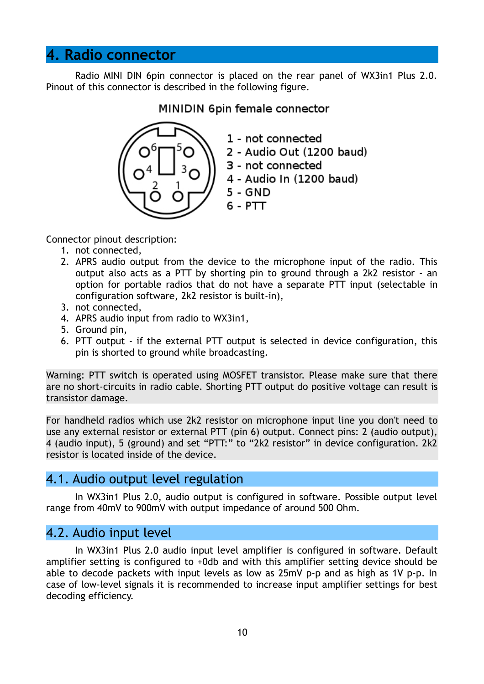### **4. Radio connector**

Radio MINI DIN 6pin connector is placed on the rear panel of WX3in1 Plus 2.0. Pinout of this connector is described in the following figure.

#### MINIDIN 6pin female connector



Connector pinout description:

- 1. not connected,
- 2. APRS audio output from the device to the microphone input of the radio. This output also acts as a PTT by shorting pin to ground through a 2k2 resistor - an option for portable radios that do not have a separate PTT input (selectable in configuration software, 2k2 resistor is built-in),
- 3. not connected,
- 4. APRS audio input from radio to WX3in1,
- 5. Ground pin,
- 6. PTT output if the external PTT output is selected in device configuration, this pin is shorted to ground while broadcasting.

Warning: PTT switch is operated using MOSFET transistor. Please make sure that there are no short-circuits in radio cable. Shorting PTT output do positive voltage can result is transistor damage.

For handheld radios which use 2k2 resistor on microphone input line you don't need to use any external resistor or external PTT (pin 6) output. Connect pins: 2 (audio output), 4 (audio input), 5 (ground) and set "PTT:" to "2k2 resistor" in device configuration. 2k2 resistor is located inside of the device.

### 4.1. Audio output level regulation

In WX3in1 Plus 2.0, audio output is configured in software. Possible output level range from 40mV to 900mV with output impedance of around 500 Ohm.

### 4.2. Audio input level

In WX3in1 Plus 2.0 audio input level amplifier is configured in software. Default amplifier setting is configured to +0db and with this amplifier setting device should be able to decode packets with input levels as low as 25mV p-p and as high as 1V p-p. In case of low-level signals it is recommended to increase input amplifier settings for best decoding efficiency.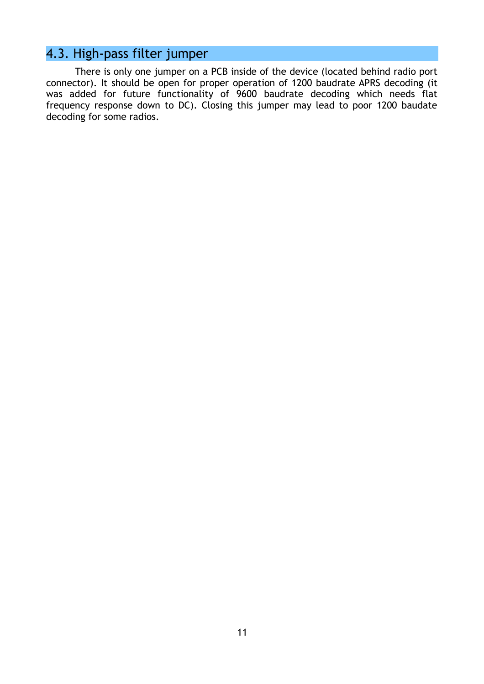# 4.3. High-pass filter jumper

There is only one jumper on a PCB inside of the device (located behind radio port connector). It should be open for proper operation of 1200 baudrate APRS decoding (it was added for future functionality of 9600 baudrate decoding which needs flat frequency response down to DC). Closing this jumper may lead to poor 1200 baudate decoding for some radios.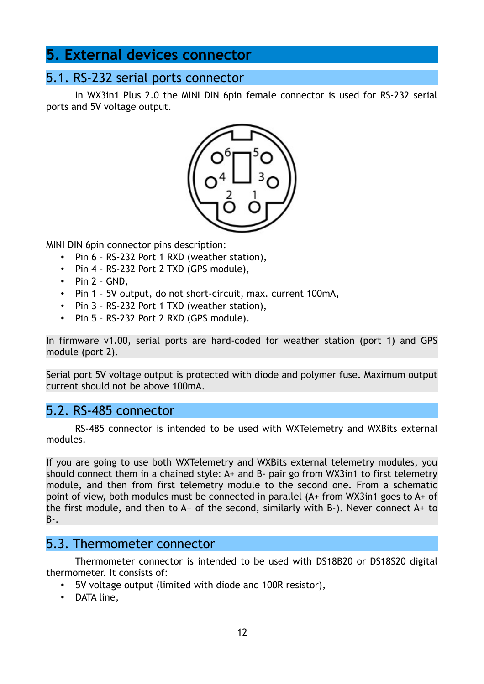### **5. External devices connector**

### 5.1. RS-232 serial ports connector

In WX3in1 Plus 2.0 the MINI DIN 6pin female connector is used for RS-232 serial ports and 5V voltage output.



MINI DIN 6pin connector pins description:

- Pin 6 RS-232 Port 1 RXD (weather station),
- Pin 4 RS-232 Port 2 TXD (GPS module),
- $\cdot$  Pin 2 GND,
- Pin 1 5V output, do not short-circuit, max. current 100mA,
- Pin 3 RS-232 Port 1 TXD (weather station),
- Pin 5 RS-232 Port 2 RXD (GPS module).

In firmware v1.00, serial ports are hard-coded for weather station (port 1) and GPS module (port 2).

Serial port 5V voltage output is protected with diode and polymer fuse. Maximum output current should not be above 100mA.

### 5.2. RS-485 connector

RS-485 connector is intended to be used with WXTelemetry and WXBits external modules.

If you are going to use both WXTelemetry and WXBits external telemetry modules, you should connect them in a chained style: A+ and B- pair go from WX3in1 to first telemetry module, and then from first telemetry module to the second one. From a schematic point of view, both modules must be connected in parallel (A+ from WX3in1 goes to A+ of the first module, and then to  $A+$  of the second, similarly with B-). Never connect  $A+$  to B-.

#### 5.3. Thermometer connector

Thermometer connector is intended to be used with DS18B20 or DS18S20 digital thermometer. It consists of:

- 5V voltage output (limited with diode and 100R resistor),
- DATA line,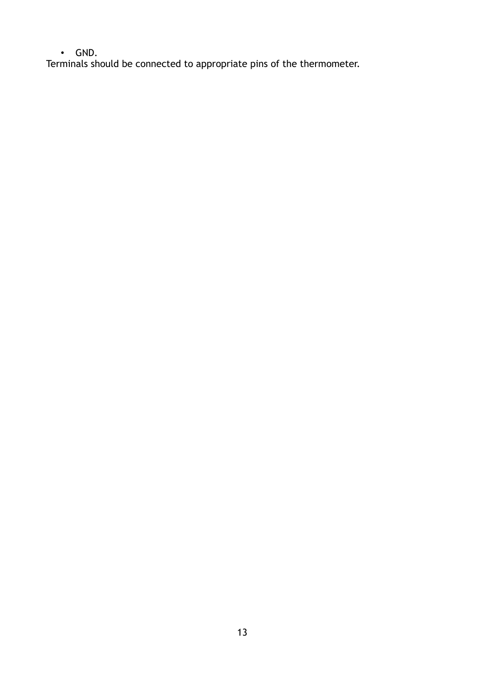• GND.

Terminals should be connected to appropriate pins of the thermometer.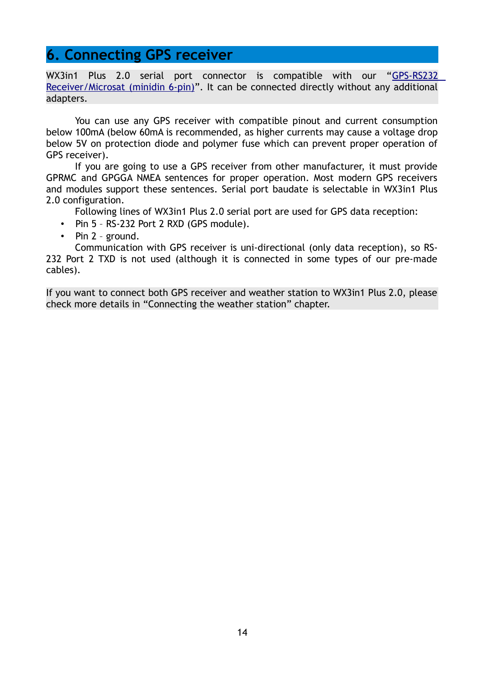### **6. Connecting GPS receiver**

WX3in1 Plus 2.0 serial port connector is compatible with our ["GPS-RS232](http://microsat.com.pl/product_info.php?products_id=56) [Receiver/Microsat \(minidin 6-pin\)"](http://microsat.com.pl/product_info.php?products_id=56). It can be connected directly without any additional adapters.

You can use any GPS receiver with compatible pinout and current consumption below 100mA (below 60mA is recommended, as higher currents may cause a voltage drop below 5V on protection diode and polymer fuse which can prevent proper operation of GPS receiver).

If you are going to use a GPS receiver from other manufacturer, it must provide GPRMC and GPGGA NMEA sentences for proper operation. Most modern GPS receivers and modules support these sentences. Serial port baudate is selectable in WX3in1 Plus 2.0 configuration.

Following lines of WX3in1 Plus 2.0 serial port are used for GPS data reception:

- Pin 5 RS-232 Port 2 RXD (GPS module).
- Pin 2 ground.

Communication with GPS receiver is uni-directional (only data reception), so RS-232 Port 2 TXD is not used (although it is connected in some types of our pre-made cables).

If you want to connect both GPS receiver and weather station to WX3in1 Plus 2.0, please check more details in "Connecting the weather station" chapter.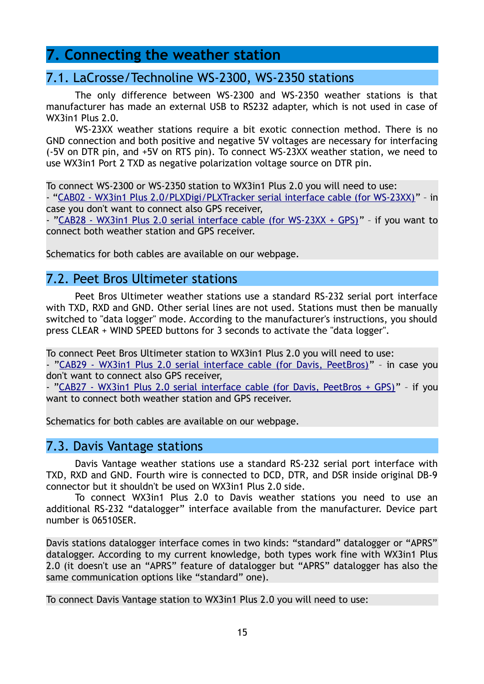### **7. Connecting the weather station**

### 7.1. LaCrosse/Technoline WS-2300, WS-2350 stations

The only difference between WS-2300 and WS-2350 weather stations is that manufacturer has made an external USB to RS232 adapter, which is not used in case of WX3in1 Plus 2.0.

WS-23XX weather stations require a bit exotic connection method. There is no GND connection and both positive and negative 5V voltages are necessary for interfacing (-5V on DTR pin, and +5V on RTS pin). To connect WS-23XX weather station, we need to use WX3in1 Port 2 TXD as negative polarization voltage source on DTR pin.

To connect WS-2300 or WS-2350 station to WX3in1 Plus 2.0 you will need to use:

- ["CAB02 - WX3in1 Plus 2.0/PLXDigi/PLXTracker serial interface cable \(for WS-23XX\)"](http://microsat.com.pl/product_info.php?products_id=58) – in case you don't want to connect also GPS receiver,

- ["CAB28 - WX3in1 Plus 2.0 serial interface cable \(for WS-23XX + GPS\)"](http://microsat.com.pl/product_info.php?products_id=119) – if you want to connect both weather station and GPS receiver.

Schematics for both cables are available on our webpage.

### 7.2. Peet Bros Ultimeter stations

Peet Bros Ultimeter weather stations use a standard RS-232 serial port interface with TXD, RXD and GND. Other serial lines are not used. Stations must then be manually switched to "data logger" mode. According to the manufacturer's instructions, you should press CLEAR + WIND SPEED buttons for 3 seconds to activate the "data logger".

To connect Peet Bros Ultimeter station to WX3in1 Plus 2.0 you will need to use:

- ["CAB29 - WX3in1 Plus 2.0 serial interface cable \(for Davis, PeetBros\)"](http://microsat.com.pl/product_info.php?products_id=121) – in case you don't want to connect also GPS receiver,

- ["CAB27 - WX3in1 Plus 2.0 serial interface cable \(for Davis, PeetBros + GPS\)"](http://microsat.com.pl/product_info.php?products_id=120) – if you want to connect both weather station and GPS receiver.

Schematics for both cables are available on our webpage.

#### 7.3. Davis Vantage stations

Davis Vantage weather stations use a standard RS-232 serial port interface with TXD, RXD and GND. Fourth wire is connected to DCD, DTR, and DSR inside original DB-9 connector but it shouldn't be used on WX3in1 Plus 2.0 side.

To connect WX3in1 Plus 2.0 to Davis weather stations you need to use an additional RS-232 "datalogger" interface available from the manufacturer. Device part number is 06510SER.

Davis stations datalogger interface comes in two kinds: "standard" datalogger or "APRS" datalogger. According to my current knowledge, both types work fine with WX3in1 Plus 2.0 (it doesn't use an "APRS" feature of datalogger but "APRS" datalogger has also the same communication options like "standard" one).

To connect Davis Vantage station to WX3in1 Plus 2.0 you will need to use: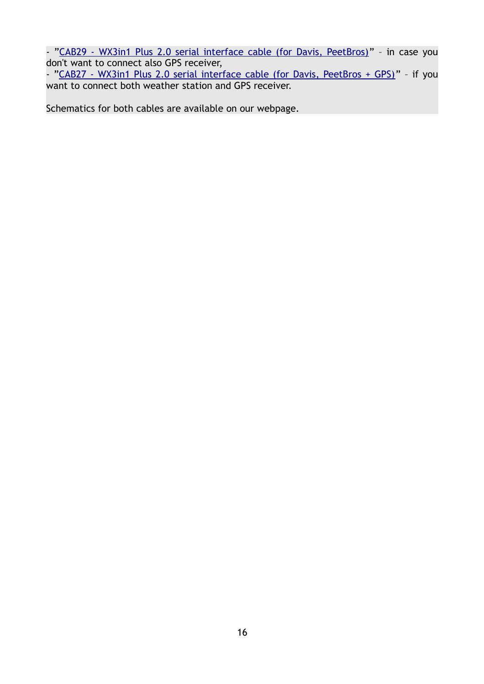- ["CAB29 - WX3in1 Plus 2.0 serial interface cable \(for Davis, PeetBros\)"](http://microsat.com.pl/product_info.php?products_id=121) - in case you don't want to connect also GPS receiver,

- ["CAB27 - WX3in1 Plus 2.0 serial interface cable \(for Davis, PeetBros + GPS\)"](http://microsat.com.pl/product_info.php?products_id=120) - if you want to connect both weather station and GPS receiver.

Schematics for both cables are available on our webpage.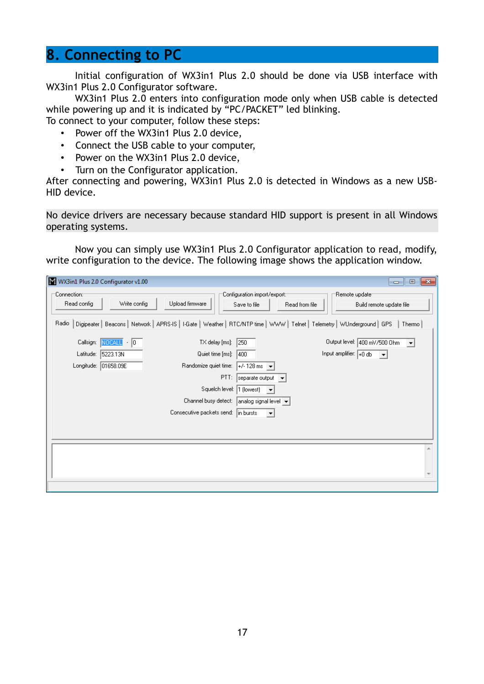### **8. Connecting to PC**

Initial configuration of WX3in1 Plus 2.0 should be done via USB interface with WX3in1 Plus 2.0 Configurator software.

WX3in1 Plus 2.0 enters into configuration mode only when USB cable is detected while powering up and it is indicated by "PC/PACKET" led blinking.

To connect to your computer, follow these steps:

- Power off the WX3in1 Plus 2.0 device,
- Connect the USB cable to your computer,
- Power on the WX3in1 Plus 2.0 device,
- Turn on the Configurator application.

After connecting and powering, WX3in1 Plus 2.0 is detected in Windows as a new USB-HID device.

No device drivers are necessary because standard HID support is present in all Windows operating systems.

Now you can simply use WX3in1 Plus 2.0 Configurator application to read, modify, write configuration to the device. The following image shows the application window.

| W WX3in1 Plus 2.0 Configurator v1.00<br>$\mathbf{z}$<br>$\Box$<br>$\qquad \qquad$                                                                                                                                                                                                                                                                                                                                                                                                                                                              |  |
|------------------------------------------------------------------------------------------------------------------------------------------------------------------------------------------------------------------------------------------------------------------------------------------------------------------------------------------------------------------------------------------------------------------------------------------------------------------------------------------------------------------------------------------------|--|
| Configuration import/export:-<br>∵Connection:⊤<br>"Remote update"<br>Write config<br>Upload firmware<br>Read config<br>Save to file<br>Read from file<br>Build remote update file<br>Digipeater   Beacons   Network   APRS-IS   I-Gate   Weather   RTC/NTP time   WWW   Telnet   Telemetry   WUnderground   GPS<br>Radio<br>Thermo                                                                                                                                                                                                             |  |
| Output level: 400 mV/500 Ohm<br>Callsign: NOCALL - 0<br>TX delay [ms]:<br>250<br>$\vert \mathbf{v} \vert$<br>Input amplifier: $\boxed{+0\text{ db}}$<br>Latitude: 5223.13N<br>Quiet time [ms]:<br>400<br>$\vert \cdot \vert$<br>Longitude: 01658.09E<br>Randomize quiet time:<br>$+/-128$ ms $\rightarrow$<br>PTT:<br>separate output v<br>Squelch level:  1 (lowest)<br>$\overline{\phantom{a}}$<br>Channel busy detect:<br>analog signal level $\left  \bullet \right $<br>Consecutive packets send:<br>in bursts<br>$\vert \bm{\tau} \vert$ |  |
|                                                                                                                                                                                                                                                                                                                                                                                                                                                                                                                                                |  |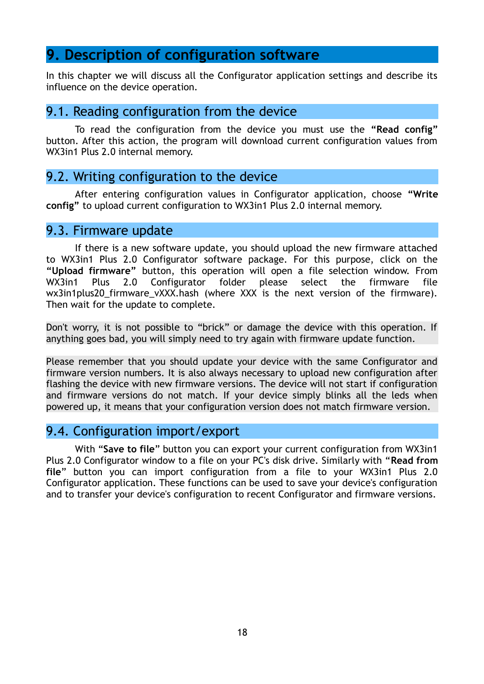### **9. Description of configuration software**

In this chapter we will discuss all the Configurator application settings and describe its influence on the device operation.

### 9.1. Reading configuration from the device

To read the configuration from the device you must use the **"Read config"** button. After this action, the program will download current configuration values from WX3in1 Plus 2.0 internal memory.

### 9.2. Writing configuration to the device

After entering configuration values in Configurator application, choose **"Write config"** to upload current configuration to WX3in1 Plus 2.0 internal memory.

#### 9.3. Firmware update

If there is a new software update, you should upload the new firmware attached to WX3in1 Plus 2.0 Configurator software package. For this purpose, click on the **"Upload firmware"** button, this operation will open a file selection window. From WX3in1 Plus 2.0 Configurator folder please select the firmware file wx3in1plus20 firmware vXXX.hash (where XXX is the next version of the firmware). Then wait for the update to complete.

Don't worry, it is not possible to "brick" or damage the device with this operation. If anything goes bad, you will simply need to try again with firmware update function.

Please remember that you should update your device with the same Configurator and firmware version numbers. It is also always necessary to upload new configuration after flashing the device with new firmware versions. The device will not start if configuration and firmware versions do not match. If your device simply blinks all the leds when powered up, it means that your configuration version does not match firmware version.

### 9.4. Configuration import/export

With "**Save to file**" button you can export your current configuration from WX3in1 Plus 2.0 Configurator window to a file on your PC's disk drive. Similarly with "**Read from file**" button you can import configuration from a file to your WX3in1 Plus 2.0 Configurator application. These functions can be used to save your device's configuration and to transfer your device's configuration to recent Configurator and firmware versions.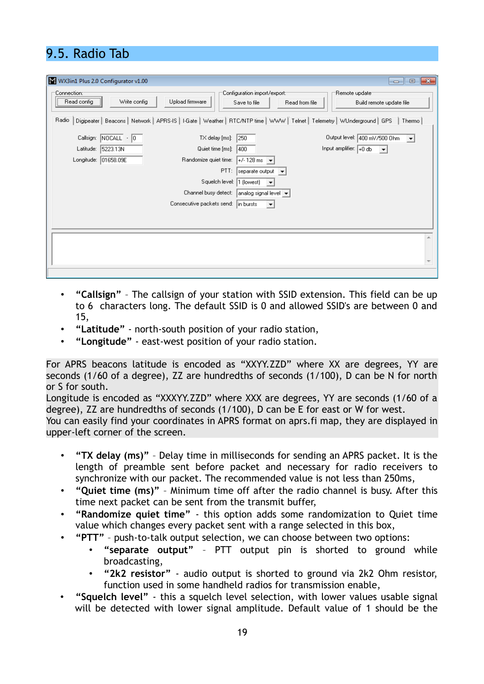# 9.5. Radio Tab

| WX3in1 Plus 2.0 Configurator v1.00                              | $\mathbf{x}$<br><b>e</b><br>$\overline{\phantom{a}}$                                                                                 |
|-----------------------------------------------------------------|--------------------------------------------------------------------------------------------------------------------------------------|
| 'Connection:⊤<br>Write config<br>Upload firmware<br>Read config | Configuration import/export:1<br>Remote update<br>Read from file<br>Build remote update file<br>Save to file                         |
| Radio                                                           | Digipeater   Beacons   Network   APRS-IS   I-Gate   Weather   RTC/NTP time   WWW   Telnet   Telemetry   WUnderground   GPS<br>Thermo |
| Callsign: NOCALL - 0<br>TX delay [ms]:                          | Output level: 400 mV/500 Ohm<br>250<br>$\overline{\phantom{a}}$                                                                      |
| Latitude: 5223.13N<br>Quiet time [ms]:                          | Input amplifier: $\boxed{+0$ db<br>400<br>$\vert \cdot \vert$                                                                        |
| Longitude: 01658.09E<br>Randomize quiet time:                   | $+/-128$ ms $\rightarrow$                                                                                                            |
|                                                                 | PTT:<br>separate output $\left  \bullet \right $                                                                                     |
|                                                                 | Squelch level:  1 (lowest)<br>$\overline{\phantom{a}}$                                                                               |
|                                                                 | Channel busy detect: analog signal level $\vert \bullet \vert$                                                                       |
| Consecutive packets send: in bursts                             | $\vert \mathbf{v} \vert$                                                                                                             |
|                                                                 |                                                                                                                                      |
|                                                                 |                                                                                                                                      |
|                                                                 |                                                                                                                                      |
|                                                                 |                                                                                                                                      |
|                                                                 |                                                                                                                                      |
|                                                                 |                                                                                                                                      |

- **"Callsign"** The callsign of your station with SSID extension. This field can be up to 6 characters long. The default SSID is 0 and allowed SSID's are between 0 and 15,
- **"Latitude"** north-south position of your radio station,
- **"Longitude"** east-west position of your radio station.

For APRS beacons latitude is encoded as "XXYY.ZZD" where XX are degrees, YY are seconds (1/60 of a degree), ZZ are hundredths of seconds (1/100), D can be N for north or S for south.

Longitude is encoded as "XXXYY.ZZD" where XXX are degrees, YY are seconds (1/60 of a degree), ZZ are hundredths of seconds (1/100), D can be E for east or W for west.

You can easily find your coordinates in APRS format on aprs.fi map, they are displayed in upper-left corner of the screen.

- **"TX delay (ms)"** Delay time in milliseconds for sending an APRS packet. It is the length of preamble sent before packet and necessary for radio receivers to synchronize with our packet. The recommended value is not less than 250ms,
- **"Quiet time (ms)"** Minimum time off after the radio channel is busy. After this time next packet can be sent from the transmit buffer,
- **"Randomize quiet time"** this option adds some randomization to Quiet time value which changes every packet sent with a range selected in this box,
	- **"PTT"** push-to-talk output selection, we can choose between two options:
		- **"separate output"** PTT output pin is shorted to ground while broadcasting,
		- **"2k2 resistor"** audio output is shorted to ground via 2k2 Ohm resistor, function used in some handheld radios for transmission enable,
- **"Squelch level"** this a squelch level selection, with lower values usable signal will be detected with lower signal amplitude. Default value of 1 should be the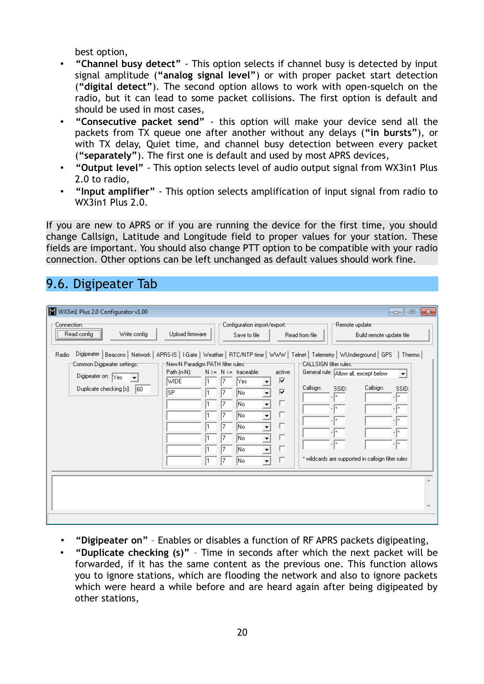best option,

- **"Channel busy detect"** This option selects if channel busy is detected by input signal amplitude (**"analog signal level"**) or with proper packet start detection (**"digital detect"**). The second option allows to work with open-squelch on the radio, but it can lead to some packet collisions. The first option is default and should be used in most cases,
- **"Consecutive packet send"** this option will make your device send all the packets from TX queue one after another without any delays (**"in bursts"**), or with TX delay, Quiet time, and channel busy detection between every packet (**"separately"**). The first one is default and used by most APRS devices,
- **"Output level"** This option selects level of audio output signal from WX3in1 Plus 2.0 to radio,
- **"Input amplifier"** This option selects amplification of input signal from radio to WX3in1 Plus 2.0.

If you are new to APRS or if you are running the device for the first time, you should change Callsign, Latitude and Longitude field to proper values for your station. These fields are important. You should also change PTT option to be compatible with your radio connection. Other options can be left unchanged as default values should work fine.

# 9.6. Digipeater Tab

| WX3in1 Plus 2.0 Configurator v1.00                                                                                                                                                                                                   |                                                                    |                                                                                                                                                                                                 |                                                                                                           | $-x$<br>$\Box$<br>$\Box$                                                                                                                                               |
|--------------------------------------------------------------------------------------------------------------------------------------------------------------------------------------------------------------------------------------|--------------------------------------------------------------------|-------------------------------------------------------------------------------------------------------------------------------------------------------------------------------------------------|-----------------------------------------------------------------------------------------------------------|------------------------------------------------------------------------------------------------------------------------------------------------------------------------|
| Connection:1<br>Read config<br>Write config                                                                                                                                                                                          | Upload firmware                                                    | Configuration import/export:-<br>Save to file                                                                                                                                                   | Read from file                                                                                            | Remote update<br>Build remote update file                                                                                                                              |
| Digipeater   Beacons   Network   APRS-IS   I-Gate   Weather   RTC/NTP time   WWW   Telmet   Telemetry   WUnderground   GPS<br>Radio<br>Common Digipeater settings:=<br>Digipeater on: Yes<br>Duplicate checking [s]:<br>$ 60\rangle$ | =New-N Paradigm PATH filter rules:=<br>Path (n-N):<br>wide<br>lsP. | $N \geq N \leq$ traceable:<br>Yes<br>lNo.<br> No<br>$\blacktriangledown$<br> No<br>$\blacktriangledown$<br> No<br>$\overline{\mathbf{r}}$<br> No<br>▼<br> No<br> No<br>$\overline{\phantom{a}}$ | :CALLSIGN filter rules::<br>active:<br>⊽<br>Callsign:<br>SSID:<br>⊽<br>. I×<br>г<br>п<br>г<br>ш<br>г<br>п | Thermo<br>General rule: Allow all, except below<br>▾▏<br>Callsign:<br>SSID:<br>.  ×<br>.  ×<br>$\cdot$ $\vert$ ×<br>* wildcards are supported in callsign filter rules |
|                                                                                                                                                                                                                                      |                                                                    |                                                                                                                                                                                                 |                                                                                                           |                                                                                                                                                                        |

- **"Digipeater on"** Enables or disables a function of RF APRS packets digipeating,
- **"Duplicate checking (s)"** Time in seconds after which the next packet will be forwarded, if it has the same content as the previous one. This function allows you to ignore stations, which are flooding the network and also to ignore packets which were heard a while before and are heard again after being digipeated by other stations,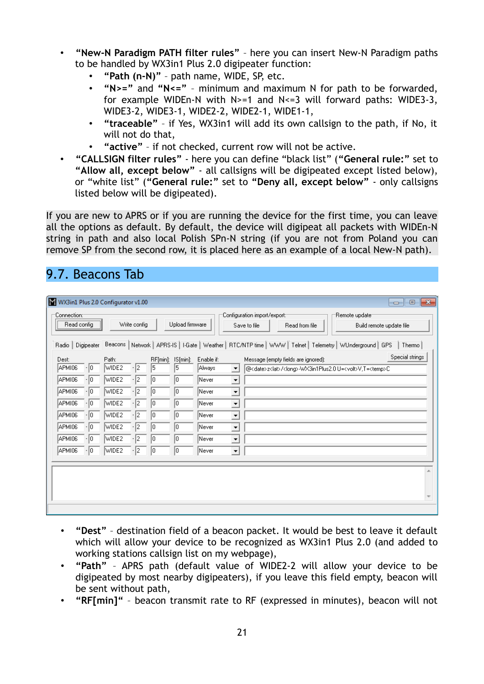- **"New-N Paradigm PATH filter rules"** here you can insert New-N Paradigm paths to be handled by WX3in1 Plus 2.0 digipeater function:
	- **"Path (n-N)"** path name, WIDE, SP, etc.
	- **"N>="** and **"N<="** minimum and maximum N for path to be forwarded, for example WIDEn-N with  $N>=1$  and  $N<=3$  will forward paths: WIDE3-3, WIDE3-2, WIDE3-1, WIDE2-2, WIDE2-1, WIDE1-1,
	- **"traceable"** if Yes, WX3in1 will add its own callsign to the path, if No, it will not do that,
	- **"active"** if not checked, current row will not be active.
- **"CALLSIGN filter rules"** here you can define "black list" (**"General rule:"** set to **"Allow all, except below"** - all callsigns will be digipeated except listed below), or "white list" (**"General rule:"** set to **"Deny all, except below"** - only callsigns listed below will be digipeated).

If you are new to APRS or if you are running the device for the first time, you can leave all the options as default. By default, the device will digipeat all packets with WIDEn-N string in path and also local Polish SPn-N string (if you are not from Poland you can remove SP from the second row, it is placed here as an example of a local New-N path).

### 9.7. Beacons Tab

| WX3in1 Plus 2.0 Configurator v1.00                                                    |                                                                         |                                                                               |                          |                                                     |                                                            |                                                                                       |                                                                                                                                                                              |                                               |                                     |                                                                                                               | $\mathbf{x}$<br>$\Box$<br>$\overline{\phantom{a}}$ |
|---------------------------------------------------------------------------------------|-------------------------------------------------------------------------|-------------------------------------------------------------------------------|--------------------------|-----------------------------------------------------|------------------------------------------------------------|---------------------------------------------------------------------------------------|------------------------------------------------------------------------------------------------------------------------------------------------------------------------------|-----------------------------------------------|-------------------------------------|---------------------------------------------------------------------------------------------------------------|----------------------------------------------------|
| :Connection⊙<br>Read config                                                           |                                                                         |                                                                               | Write config             |                                                     | Upload firmware                                            |                                                                                       |                                                                                                                                                                              | Configuration import/export:1<br>Save to file | Read from file                      | Remote update<br>Build remote update file                                                                     |                                                    |
| Radio                                                                                 | Digipeater                                                              |                                                                               |                          |                                                     |                                                            |                                                                                       |                                                                                                                                                                              |                                               |                                     | Beacons   Network   APRS-IS   I-Gate   Weather   RTC/NTP time   WWW   Telnet   Telemetry   WUnderground   GPS | Thermo                                             |
| Dest:<br>APMI06<br>APMI06<br>APMI06<br>APMI06<br>APMI06<br>APMI06<br>APMI06<br>APMI06 | $\cdot$ 0<br>$\cdot$ 0<br>0 ،<br>0ا∙<br>0ا∙<br>0ا ۱<br>-10<br>$\cdot$ 0 | Path:<br>WIDE2<br>WIDE2<br>WIDE2<br>WIDE2<br>WIDE2<br>WIDE2<br>WIDE2<br>WIDE2 | $-2$<br>2<br>2<br>2<br>2 | RF[min]:<br>15<br>0<br>0<br>٥<br>0<br>Ω<br>10<br>10 | $IS[min]$ :<br>15<br>10<br>10<br>10<br>10<br>10<br>0<br>10 | Enable if:<br> Always<br>Never<br>Never<br>Never<br> Never<br>Never<br>Never<br>Never | ≛<br>$\blacktriangledown$<br>$\blacktriangledown$<br>$\blacktriangledown$<br>$\blacktriangledown$<br>$\blacktriangledown$<br>$\blacktriangledown$<br>$\overline{\mathbf{v}}$ |                                               | Message (empty fields are ignored): | @ <date>z<lat>/<long>-WX3in1Plus2.0 U=<volt>V,T=<temp>C</temp></volt></long></lat></date>                     | Special strings                                    |
|                                                                                       |                                                                         |                                                                               |                          |                                                     |                                                            |                                                                                       |                                                                                                                                                                              |                                               |                                     |                                                                                                               |                                                    |

- **"Dest"** destination field of a beacon packet. It would be best to leave it default which will allow your device to be recognized as WX3in1 Plus 2.0 (and added to working stations callsign list on my webpage),
- **"Path"** APRS path (default value of WIDE2-2 will allow your device to be digipeated by most nearby digipeaters), if you leave this field empty, beacon will be sent without path,
- **"RF[min]"** beacon transmit rate to RF (expressed in minutes), beacon will not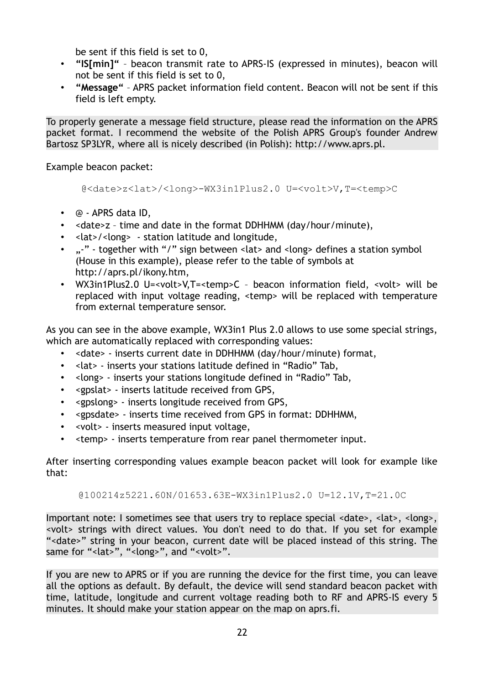be sent if this field is set to 0,

- **"IS[min]"** beacon transmit rate to APRS-IS (expressed in minutes), beacon will not be sent if this field is set to 0,
- **"Message"** APRS packet information field content. Beacon will not be sent if this field is left empty.

To properly generate a message field structure, please read the information on the APRS packet format. I recommend the website of the Polish APRS Group's founder Andrew Bartosz SP3LYR, where all is nicely described (in Polish): http://www.aprs.pl.

Example beacon packet:

@<date>z<lat>/<long>-WX3in1Plus2.0 U=<volt>V,T=<temp>C

- @ APRS data ID,
- <date>z time and date in the format DDHHMM (day/hour/minute),
- <lat>/<long> station latitude and longitude,
- ...<sup>-"</sup> together with "/" sign between <lat> and <long> defines a station symbol (House in this example), please refer to the table of symbols at http://aprs.pl/ikony.htm,
- WX3in1Plus2.0 U=<volt>V,T=<temp>C beacon information field, <volt> will be replaced with input voltage reading, <temp> will be replaced with temperature from external temperature sensor.

As you can see in the above example, WX3in1 Plus 2.0 allows to use some special strings, which are automatically replaced with corresponding values:

- <date> inserts current date in DDHHMM (day/hour/minute) format,
- <lat> inserts your stations latitude defined in "Radio" Tab,
- <long> inserts your stations longitude defined in "Radio" Tab,
- <gpslat> inserts latitude received from GPS,
- <gpslong> inserts longitude received from GPS,
- <gpsdate> inserts time received from GPS in format: DDHHMM,
- <volt> inserts measured input voltage,
- <temp> inserts temperature from rear panel thermometer input.

After inserting corresponding values example beacon packet will look for example like that:

@100214z5221.60N/01653.63E-WX3in1Plus2.0 U=12.1V,T=21.0C

Important note: I sometimes see that users try to replace special <date>, <lat>, <long>, <volt> strings with direct values. You don't need to do that. If you set for example "<date>" string in your beacon, current date will be placed instead of this string. The same for "<lat>", "<long>", and "<volt>".

If you are new to APRS or if you are running the device for the first time, you can leave all the options as default. By default, the device will send standard beacon packet with time, latitude, longitude and current voltage reading both to RF and APRS-IS every 5 minutes. It should make your station appear on the map on aprs.fi.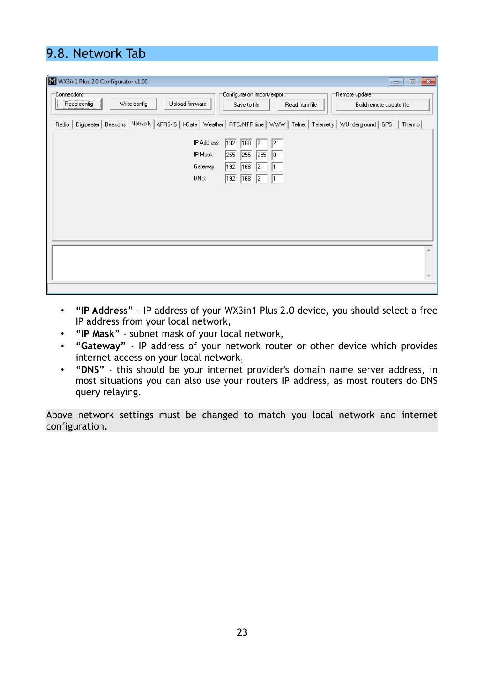# 9.8. Network Tab

| W WX3in1 Plus 2.0 Configurator v1.00                                                                                                                                            | $\ x\ $<br>$\Box$ e |
|---------------------------------------------------------------------------------------------------------------------------------------------------------------------------------|---------------------|
| Configuration import/export:=<br>"Remote update"<br>Connection:<br>Write config<br>Upload firmware<br>Read config<br>Save to file<br>Read from file<br>Build remote update file |                     |
| Radio   Digipeater   Beacons Network   APRS-IS   I-Gate   Weather   RTC/NTP time   WWW   Telnet   Telemetry   WUnderground   GPS                                                | Thermo              |
| IP Address:<br>192<br>168<br> 2 <br>12<br>IP Mask:<br>255<br>255<br>255<br>10<br>Gateway:<br>192<br>168<br>12<br>DNS:<br>192<br>168<br>12                                       |                     |
|                                                                                                                                                                                 |                     |
|                                                                                                                                                                                 |                     |

- **"IP Address"** IP address of your WX3in1 Plus 2.0 device, you should select a free IP address from your local network,
- **"IP Mask"** subnet mask of your local network,
- **"Gateway"** IP address of your network router or other device which provides internet access on your local network,
- **"DNS"** this should be your internet provider's domain name server address, in most situations you can also use your routers IP address, as most routers do DNS query relaying.

Above network settings must be changed to match you local network and internet configuration.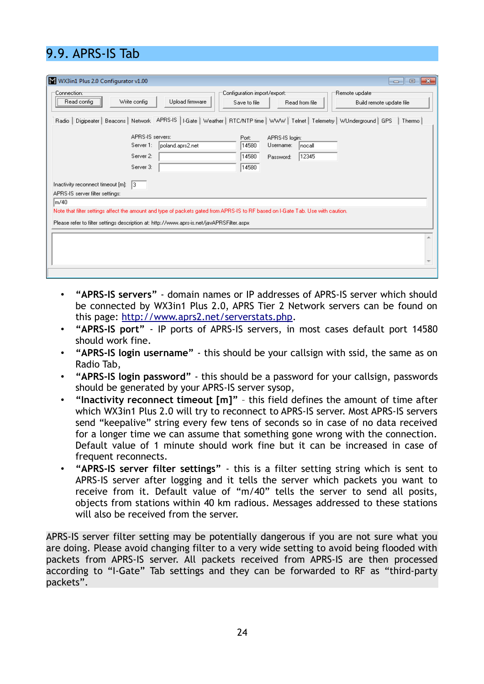# 9.9. APRS-IS Tab

| W WX3in1 Plus 2.0 Configurator v1.00<br>$\Box$<br>$\qquad \qquad$                                                                                                                                                                                                                                                                                                                                                                                                                                        | $-x$ |
|----------------------------------------------------------------------------------------------------------------------------------------------------------------------------------------------------------------------------------------------------------------------------------------------------------------------------------------------------------------------------------------------------------------------------------------------------------------------------------------------------------|------|
| Configuration import/export:1<br>Remote update<br>:Connection<br>Write config<br>Upload firmware<br>Read config<br>Read from file<br>Save to file<br>Build remote update file                                                                                                                                                                                                                                                                                                                            |      |
| Digipeater   Beacons   Network   APRS-IS   I-Gate   Weather   RTC/NTP time   WWW   Telnet   Telemetry   WUnderground   GPS<br>Thermo<br>Radio                                                                                                                                                                                                                                                                                                                                                            |      |
| APRS-IS servers:<br>Port:<br>APRS-IS login:<br>Server 1:<br>14580<br>Username:<br>poland.aprs2.net<br> nocall<br>Server 2:<br>14580<br>12345<br>Password:<br>14580<br>Server 3:<br>Inactivity reconnect timeout $[m]$ : $ 3 $<br>APRS-IS server filter settings:<br>m/40<br>Note that filter settings affect the amount and type of packets gated from APRS-IS to RF based on I-Gate Tab. Use with caution.<br>Please refer to filter settings description at: http://www.aprs-is.net/javAPRSFilter.aspx |      |
|                                                                                                                                                                                                                                                                                                                                                                                                                                                                                                          |      |
|                                                                                                                                                                                                                                                                                                                                                                                                                                                                                                          |      |

- **"APRS-IS servers"** domain names or IP addresses of APRS-IS server which should be connected by WX3in1 Plus 2.0, APRS Tier 2 Network servers can be found on this page: [http://www.aprs2.net/serverstats.php.](http://www.aprs2.net/serverstats.php)
- **"APRS-IS port"** IP ports of APRS-IS servers, in most cases default port 14580 should work fine.
- **"APRS-IS login username"** this should be your callsign with ssid, the same as on Radio Tab,
- **"APRS-IS login password"** this should be a password for your callsign, passwords should be generated by your APRS-IS server sysop,
- **"Inactivity reconnect timeout [m]"** this field defines the amount of time after which WX3in1 Plus 2.0 will try to reconnect to APRS-IS server. Most APRS-IS servers send "keepalive" string every few tens of seconds so in case of no data received for a longer time we can assume that something gone wrong with the connection. Default value of 1 minute should work fine but it can be increased in case of frequent reconnects.
- **"APRS-IS server filter settings"** this is a filter setting string which is sent to APRS-IS server after logging and it tells the server which packets you want to receive from it. Default value of "m/40" tells the server to send all posits, objects from stations within 40 km radious. Messages addressed to these stations will also be received from the server.

APRS-IS server filter setting may be potentially dangerous if you are not sure what you are doing. Please avoid changing filter to a very wide setting to avoid being flooded with packets from APRS-IS server. All packets received from APRS-IS are then processed according to "I-Gate" Tab settings and they can be forwarded to RF as "third-party packets".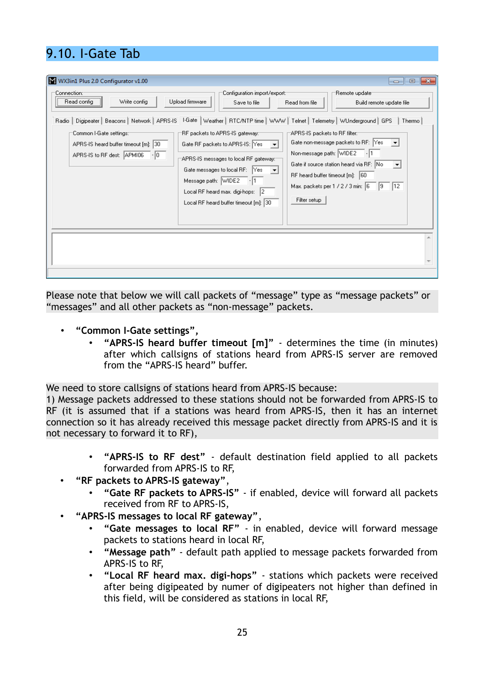# 9.10. I-Gate Tab

| WX3in1 Plus 2.0 Configurator v1.00<br>:Connection⊙<br>Write config<br>Read config<br>Digipeater   Beacons   Network   APRS-IS<br>Radio  <br>'Common I-Gate settings::<br>APRS-IS heard buffer timeout [m]: 30<br>APRS-IS to RF dest: APMI06<br>$-10$ | :Configuration import/export<br>Upload firmware<br>Save to file<br>"RF packets to APRS-IS gateway:<br>Gate RF packets to APRS-IS: Yes<br>$\overline{\phantom{a}}$<br>APRS-IS messages to local RF gateway:"<br>Gate messages to local RF: $\frac{1}{2}$ Yes $\frac{1}{2}$<br>Message path: WIDE2<br>Local RF heard max. digi-hops: 2<br>Local RF heard buffer timeout [m]: 30 | $\Box$<br>-23<br>$\Box$<br>Remote update<br>Read from file<br>Build remote update file<br>I-Gate   Weather   RTC/NTP time   WWW   Telnet   Telemetry   WUnderground   GPS<br>Thermo<br>APRS-IS packets to RF filter::<br>Gate non-message packets to RF: $\left  \mathsf{Yes} \right  \rightarrow \right $<br>Non-message path: WIDE2<br>Gate if source station heard via RF: No<br>$\vert \cdot \vert$<br>RF heard buffer timeout [m]: 60<br>Max. packets per 1 / 2 / 3 min: 6<br> 9 12<br>Filter setup |
|------------------------------------------------------------------------------------------------------------------------------------------------------------------------------------------------------------------------------------------------------|-------------------------------------------------------------------------------------------------------------------------------------------------------------------------------------------------------------------------------------------------------------------------------------------------------------------------------------------------------------------------------|----------------------------------------------------------------------------------------------------------------------------------------------------------------------------------------------------------------------------------------------------------------------------------------------------------------------------------------------------------------------------------------------------------------------------------------------------------------------------------------------------------|
|                                                                                                                                                                                                                                                      |                                                                                                                                                                                                                                                                                                                                                                               |                                                                                                                                                                                                                                                                                                                                                                                                                                                                                                          |

Please note that below we will call packets of "message" type as "message packets" or "messages" and all other packets as "non-message" packets.

- **"Common I-Gate settings",**
	- **"APRS-IS heard buffer timeout [m]"** determines the time (in minutes) after which callsigns of stations heard from APRS-IS server are removed from the "APRS-IS heard" buffer.

We need to store callsigns of stations heard from APRS-IS because:

1) Message packets addressed to these stations should not be forwarded from APRS-IS to RF (it is assumed that if a stations was heard from APRS-IS, then it has an internet connection so it has already received this message packet directly from APRS-IS and it is not necessary to forward it to RF),

- **"APRS-IS to RF dest"** default destination field applied to all packets forwarded from APRS-IS to RF,
- **"RF packets to APRS-IS gateway"**,
	- **"Gate RF packets to APRS-IS"** if enabled, device will forward all packets received from RF to APRS-IS,
- **"APRS-IS messages to local RF gateway"**,
	- **"Gate messages to local RF"** in enabled, device will forward message packets to stations heard in local RF,
	- **"Message path"** default path applied to message packets forwarded from APRS-IS to RF,
	- **"Local RF heard max. digi-hops"** stations which packets were received after being digipeated by numer of digipeaters not higher than defined in this field, will be considered as stations in local RF,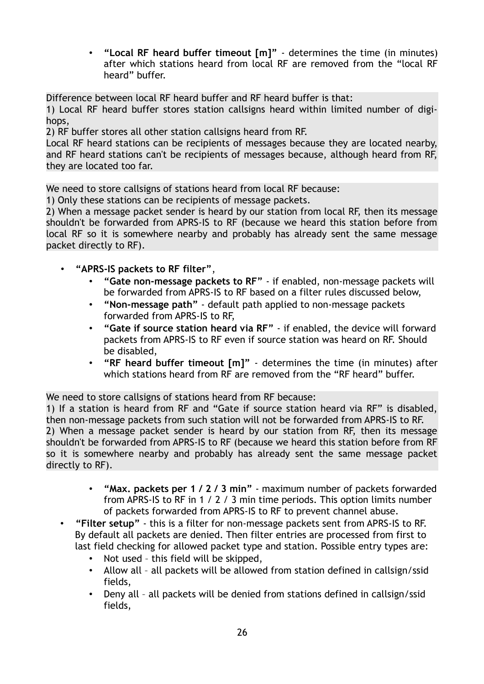• **"Local RF heard buffer timeout [m]"** - determines the time (in minutes) after which stations heard from local RF are removed from the "local RF heard" buffer.

Difference between local RF heard buffer and RF heard buffer is that:

1) Local RF heard buffer stores station callsigns heard within limited number of digihops,

2) RF buffer stores all other station callsigns heard from RF.

Local RF heard stations can be recipients of messages because they are located nearby, and RF heard stations can't be recipients of messages because, although heard from RF, they are located too far.

We need to store callsigns of stations heard from local RF because:

1) Only these stations can be recipients of message packets.

2) When a message packet sender is heard by our station from local RF, then its message shouldn't be forwarded from APRS-IS to RF (because we heard this station before from local RF so it is somewhere nearby and probably has already sent the same message packet directly to RF).

- **"APRS-IS packets to RF filter"**,
	- **"Gate non-message packets to RF"** if enabled, non-message packets will be forwarded from APRS-IS to RF based on a filter rules discussed below,
	- **"Non-message path"** default path applied to non-message packets forwarded from APRS-IS to RF,
	- **"Gate if source station heard via RF"** if enabled, the device will forward packets from APRS-IS to RF even if source station was heard on RF. Should be disabled,
	- **"RF heard buffer timeout [m]"** determines the time (in minutes) after which stations heard from RF are removed from the "RF heard" buffer.

We need to store callsigns of stations heard from RF because:

1) If a station is heard from RF and "Gate if source station heard via RF" is disabled, then non-message packets from such station will not be forwarded from APRS-IS to RF. 2) When a message packet sender is heard by our station from RF, then its message shouldn't be forwarded from APRS-IS to RF (because we heard this station before from RF so it is somewhere nearby and probably has already sent the same message packet directly to RF).

- **"Max. packets per 1 / 2 / 3 min"** maximum number of packets forwarded from APRS-IS to RF in 1 / 2 / 3 min time periods. This option limits number of packets forwarded from APRS-IS to RF to prevent channel abuse.
- **"Filter setup"** this is a filter for non-message packets sent from APRS-IS to RF. By default all packets are denied. Then filter entries are processed from first to last field checking for allowed packet type and station. Possible entry types are:
	- Not used this field will be skipped,
	- Allow all all packets will be allowed from station defined in callsign/ssid fields,
	- Deny all all packets will be denied from stations defined in callsign/ssid fields,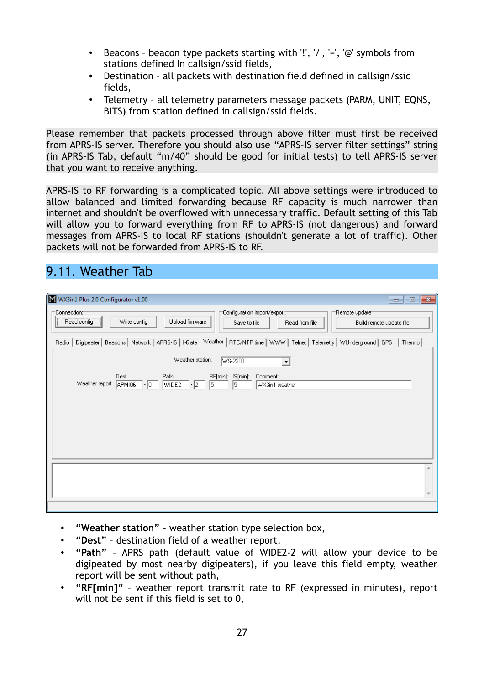- Beacons beacon type packets starting with '!', '/', '=', '@' symbols from stations defined In callsign/ssid fields,
- Destination all packets with destination field defined in callsign/ssid fields,
- Telemetry all telemetry parameters message packets (PARM, UNIT, EQNS, BITS) from station defined in callsign/ssid fields.

Please remember that packets processed through above filter must first be received from APRS-IS server. Therefore you should also use "APRS-IS server filter settings" string (in APRS-IS Tab, default "m/40" should be good for initial tests) to tell APRS-IS server that you want to receive anything.

APRS-IS to RF forwarding is a complicated topic. All above settings were introduced to allow balanced and limited forwarding because RF capacity is much narrower than internet and shouldn't be overflowed with unnecessary traffic. Default setting of this Tab will allow you to forward everything from RF to APRS-IS (not dangerous) and forward messages from APRS-IS to local RF stations (shouldn't generate a lot of traffic). Other packets will not be forwarded from APRS-IS to RF.

## 9.11. Weather Tab

| W WX3in1 Plus 2.0 Configurator v1.00<br>$-x$<br>$\Box$<br>- 1                                                                                                                    |  |
|----------------------------------------------------------------------------------------------------------------------------------------------------------------------------------|--|
| Connection:-<br>Configuration import/export:-<br>"Remote update"<br>Read config<br>Write config<br>Upload firmware<br>Save to file<br>Read from file<br>Build remote update file |  |
| Digipeater   Beacons   Network   APRS-IS   I-Gate Weather   RTC/NTP time   WWW   Telnet   Telemetry   WUnderground   GPS<br>Thermo<br>Radio                                      |  |
| Weather station:<br>WS-2300                                                                                                                                                      |  |
| Dest:<br>RF[min]: IS[min]:<br>Path:<br>Comment:<br>Weather report: APMI06<br>$\cdot$ 2<br>5<br>$\cdot$ 0<br>5<br>WIDE2<br>WX3in1 weather                                         |  |
|                                                                                                                                                                                  |  |
|                                                                                                                                                                                  |  |
|                                                                                                                                                                                  |  |

- **"Weather station"** weather station type selection box,
- **"Dest"** destination field of a weather report.
- **"Path"** APRS path (default value of WIDE2-2 will allow your device to be digipeated by most nearby digipeaters), if you leave this field empty, weather report will be sent without path,
- **"RF[min]"** weather report transmit rate to RF (expressed in minutes), report will not be sent if this field is set to 0,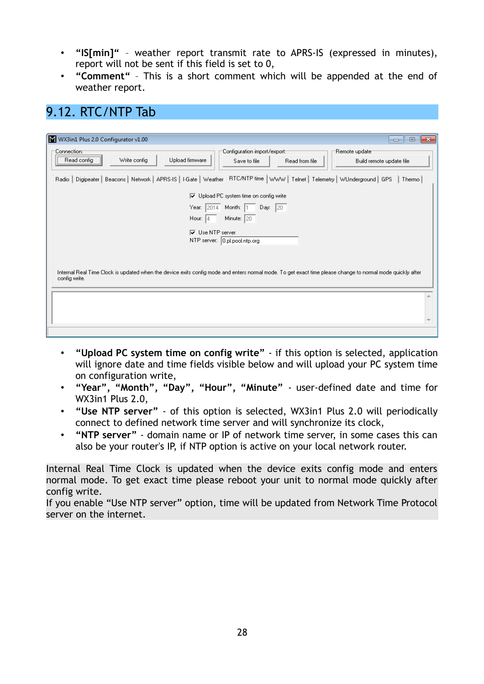- **"IS[min]"** weather report transmit rate to APRS-IS (expressed in minutes), report will not be sent if this field is set to 0,
- **"Comment"** This is a short comment which will be appended at the end of weather report.

### 9.12. RTC/NTP Tab

| WX3in1 Plus 2.0 Configurator v1.00<br>$\Box$ X<br>$\overline{\phantom{a}}$                                                                                                    |
|-------------------------------------------------------------------------------------------------------------------------------------------------------------------------------|
| Configuration import/export:<br>Remote update<br>Connection:⊤<br>Upload firmware<br>Write config<br>Read config<br>Read from file<br>Build remote update file<br>Save to file |
| Radio   Digipeater   Beacons   Network   APRS-IS   I-Gate   Weather RTC/NTP time   WWW   Telnet   Telemetry   WUnderground   GPS<br>Thermo                                    |
| □ Upload PC system time on config write                                                                                                                                       |
| Day: $\boxed{20}$<br>Year:<br>Month: 1<br> 2014                                                                                                                               |
| Hour:<br>Minute: 20<br>4                                                                                                                                                      |
| $\nabla$ Use NTP server                                                                                                                                                       |
| NTP server: 0.pl.pool.ntp.org                                                                                                                                                 |
|                                                                                                                                                                               |
|                                                                                                                                                                               |
| Internal Real Time Clock is updated when the device exits config mode and enters normal mode. To get exact time please change to normal mode quickly after<br>config write.   |
|                                                                                                                                                                               |
|                                                                                                                                                                               |
|                                                                                                                                                                               |
|                                                                                                                                                                               |
|                                                                                                                                                                               |

- **"Upload PC system time on config write"** if this option is selected, application will ignore date and time fields visible below and will upload your PC system time on configuration write,
- **"Year", "Month", "Day", "Hour", "Minute"** user-defined date and time for WX3in1 Plus 2.0,
- **"Use NTP server"** of this option is selected, WX3in1 Plus 2.0 will periodically connect to defined network time server and will synchronize its clock,
- **"NTP server"** domain name or IP of network time server, in some cases this can also be your router's IP, if NTP option is active on your local network router.

Internal Real Time Clock is updated when the device exits config mode and enters normal mode. To get exact time please reboot your unit to normal mode quickly after config write.

If you enable "Use NTP server" option, time will be updated from Network Time Protocol server on the internet.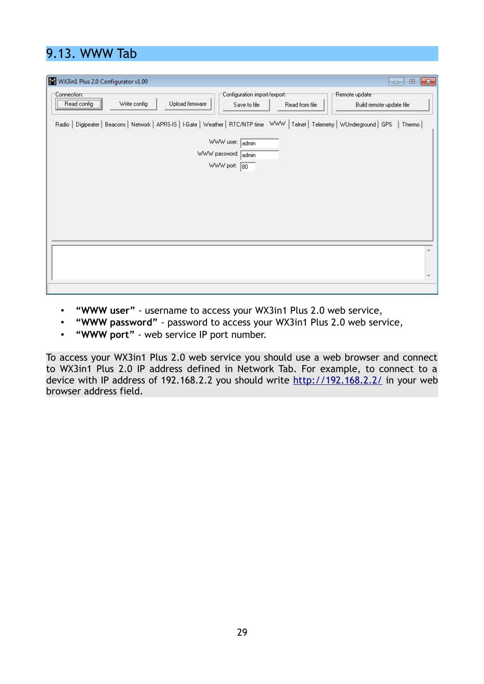# 9.13. WWW Tab

| W WX3in1 Plus 2.0 Configurator v1.00<br>$\mathbf{x}$<br>$\blacksquare$ $\blacksquare$                                                                                            |
|----------------------------------------------------------------------------------------------------------------------------------------------------------------------------------|
| Configuration import/export:-<br>"Remote update"<br>:Connection⊙<br>Write config<br>Upload firmware<br>Read config<br>Read from file<br>Build remote update file<br>Save to file |
| Radio   Digipeater   Beacons   Network   APRS-IS   I-Gate   Weather   RTC/NTP time   WWW   Telnet   Telemetry   WUnderground   GPS<br>Thermo                                     |
| WWW user: [<br>admin<br>WWW password: admin<br>WWW port: 80                                                                                                                      |
|                                                                                                                                                                                  |
|                                                                                                                                                                                  |

- **"WWW user"** username to access your WX3in1 Plus 2.0 web service,
- **"WWW password"** password to access your WX3in1 Plus 2.0 web service,
- **"WWW port"** web service IP port number.

To access your WX3in1 Plus 2.0 web service you should use a web browser and connect to WX3in1 Plus 2.0 IP address defined in Network Tab. For example, to connect to a device with IP address of 192.168.2.2 you should write<http://192.168.2.2/>in your web browser address field.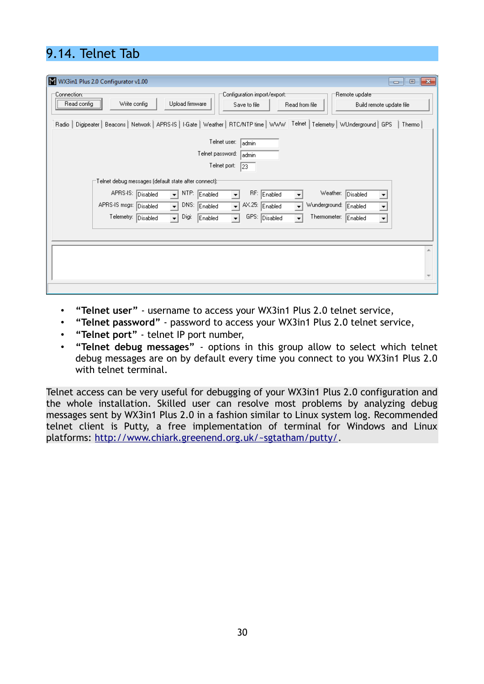# 9.14. Telnet Tab

| W WX3in1 Plus 2.0 Configurator v1.00<br>$-x$<br>$\Box$<br>$\overline{\phantom{a}}$                                                                                                                                                                                                                                                                                                                                                                                                                                                                                             |
|--------------------------------------------------------------------------------------------------------------------------------------------------------------------------------------------------------------------------------------------------------------------------------------------------------------------------------------------------------------------------------------------------------------------------------------------------------------------------------------------------------------------------------------------------------------------------------|
| Configuration import/export:1<br>Remote update<br>:Connection⊙<br>Write config<br>Upload firmware<br>Read config<br>Save to file<br>Read from file<br>Build remote update file                                                                                                                                                                                                                                                                                                                                                                                                 |
| Digipeater   Beacons   Network   APRS-IS   I-Gate   Weather   RTC/NTP time   WWW   Telnet   Telemetry   WUnderground   GPS<br>Thermo<br>Radio                                                                                                                                                                                                                                                                                                                                                                                                                                  |
| Telnet user:<br>admin<br>Telnet password:<br>admin<br>Telnet port:<br> 23 <br>Telnet debug messages (default state after connect):-<br>APRS-IS:<br>NTP:<br>RF: Enabled<br>Weather: Disabled<br>Disabled<br>Enabled<br>$\overline{\phantom{a}}$<br>DNS:<br>AX.25: Enabled<br>Wunderground:<br>APRS-IS msgs: Disabled<br>$\overline{\phantom{a}}$<br>Enabled<br>Enabled<br>$\overline{\phantom{0}}$<br>$\overline{\phantom{a}}$<br>GPS: Disabled<br>Telemetry: Disabled<br>Digi:<br>Thermometer: Enabled<br>$\mathbf{r}$<br>$\vert \cdot \vert$<br>Enabled<br>$\vert$<br>$\vert$ |
|                                                                                                                                                                                                                                                                                                                                                                                                                                                                                                                                                                                |
|                                                                                                                                                                                                                                                                                                                                                                                                                                                                                                                                                                                |

- **"Telnet user"** username to access your WX3in1 Plus 2.0 telnet service,
- **"Telnet password"** password to access your WX3in1 Plus 2.0 telnet service,
- **"Telnet port"** telnet IP port number,
- **"Telnet debug messages"** options in this group allow to select which telnet debug messages are on by default every time you connect to you WX3in1 Plus 2.0 with telnet terminal.

Telnet access can be very useful for debugging of your WX3in1 Plus 2.0 configuration and the whole installation. Skilled user can resolve most problems by analyzing debug messages sent by WX3in1 Plus 2.0 in a fashion similar to Linux system log. Recommended telnet client is Putty, a free implementation of terminal for Windows and Linux platforms: [http://www.chiark.greenend.org.uk/~sgtatham/putty/.](http://www.chiark.greenend.org.uk/~sgtatham/putty/)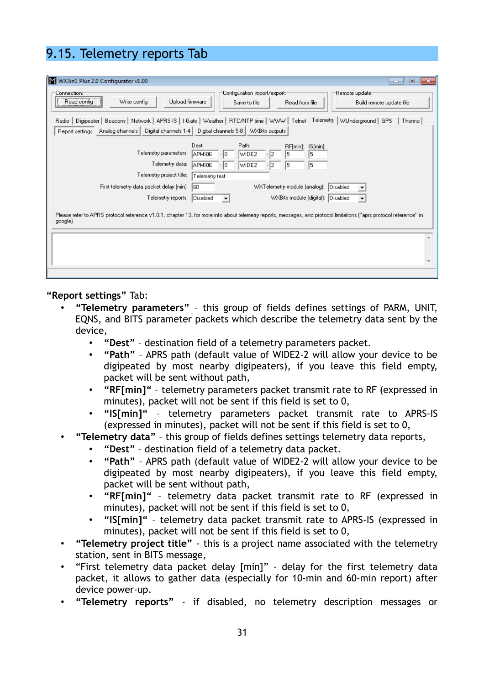# 9.15. Telemetry reports Tab

| WX3in1 Plus 2.0 Configurator v1.00<br>$\Box$<br>$\qquad \qquad \qquad$                                                                                                                                                                                                                                                                                                                                                                                                                                                                                                                             | $-x$ |  |  |
|----------------------------------------------------------------------------------------------------------------------------------------------------------------------------------------------------------------------------------------------------------------------------------------------------------------------------------------------------------------------------------------------------------------------------------------------------------------------------------------------------------------------------------------------------------------------------------------------------|------|--|--|
| Configuration import/export:<br>Remote update<br>:Connection<br>Write config<br>Upload firmware<br>Read config<br>Read from file<br>Save to file<br>Build remote update file                                                                                                                                                                                                                                                                                                                                                                                                                       |      |  |  |
| Radio   Digipeater   Beacons   Network   APRS-IS   I-Gate   Weather   RTC/NTP time   WWW   Telnet Telemetry   WUnderground   GPS<br>Thermo<br>Analog channels   Digital channels 1-4   Digital channels 5-8   WXBits outputs<br>Report settings                                                                                                                                                                                                                                                                                                                                                    |      |  |  |
| Dest:<br>Path:<br>RF[min]: IS[min]:<br>Telemetry parameters:<br>APMI06<br>WIDE2<br>15<br>15<br>12<br>$\cdot$  0<br>Telemetry data:<br>15<br>APMI06<br>5<br>WIDE2<br>10<br>Telemetry project title:<br>Telemetry test<br>WXTelemetry module (analog): Disabled<br>First telemetry data packet delay [min]:<br>160<br>Telemetry reports:<br>WXBits module (digital): Disabled<br>Disabled<br>$\blacktriangledown$<br>Please refer to APRS protocol reference v1.0.1, chapter 13, for more info about telemetry reports, messages, and protocol limitations ("aprs protocol reference" in<br>google). |      |  |  |
|                                                                                                                                                                                                                                                                                                                                                                                                                                                                                                                                                                                                    |      |  |  |

**"Report settings"** Tab:

- **"Telemetry parameters"** this group of fields defines settings of PARM, UNIT, EQNS, and BITS parameter packets which describe the telemetry data sent by the device,
	- **"Dest"** destination field of a telemetry parameters packet.
	- **"Path"** APRS path (default value of WIDE2-2 will allow your device to be digipeated by most nearby digipeaters), if you leave this field empty, packet will be sent without path,
	- **"RF[min]"** telemetry parameters packet transmit rate to RF (expressed in minutes), packet will not be sent if this field is set to 0,
	- **"IS[min]"** telemetry parameters packet transmit rate to APRS-IS (expressed in minutes), packet will not be sent if this field is set to 0,
- **"Telemetry data"** this group of fields defines settings telemetry data reports,
	- **"Dest"** destination field of a telemetry data packet.
	- **"Path"** APRS path (default value of WIDE2-2 will allow your device to be digipeated by most nearby digipeaters), if you leave this field empty, packet will be sent without path,
	- **"RF[min]"** telemetry data packet transmit rate to RF (expressed in minutes), packet will not be sent if this field is set to 0,
	- **"IS[min]"** telemetry data packet transmit rate to APRS-IS (expressed in minutes), packet will not be sent if this field is set to 0,
- **"Telemetry project title"** this is a project name associated with the telemetry station, sent in BITS message,
- "First telemetry data packet delay [min]" delay for the first telemetry data packet, it allows to gather data (especially for 10-min and 60-min report) after device power-up.
- **"Telemetry reports"** if disabled, no telemetry description messages or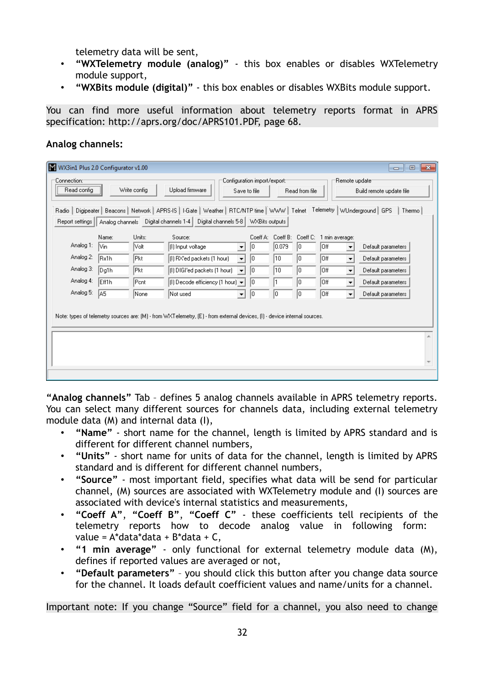telemetry data will be sent,

- **"WXTelemetry module (analog)"** this box enables or disables WXTelemetry module support,
- **"WXBits module (digital)"** this box enables or disables WXBits module support.

You can find more useful information about telemetry reports format in APRS specification: http://aprs.org/doc/APRS101.PDF, page 68.

#### **Analog channels:**

| WX3in1 Plus 2.0 Configurator v1.00<br>▣<br>-23<br>$\Box$                                                                                                                      |                                                |                                                 |                                                                                                                                                                                                                                                                                                                                                                                                |                                        |                                      |                                        |                                                        |                                                                                                                      |                                                                                                            |  |
|-------------------------------------------------------------------------------------------------------------------------------------------------------------------------------|------------------------------------------------|-------------------------------------------------|------------------------------------------------------------------------------------------------------------------------------------------------------------------------------------------------------------------------------------------------------------------------------------------------------------------------------------------------------------------------------------------------|----------------------------------------|--------------------------------------|----------------------------------------|--------------------------------------------------------|----------------------------------------------------------------------------------------------------------------------|------------------------------------------------------------------------------------------------------------|--|
| Configuration import/export:<br>Connection:⊺<br>Remote update<br>Write config<br>Upload firmware<br>Read config<br>Read from file<br>Build remote update file<br>Save to file |                                                |                                                 |                                                                                                                                                                                                                                                                                                                                                                                                |                                        |                                      |                                        |                                                        |                                                                                                                      |                                                                                                            |  |
| Radio   Digipeater   Beacons   Network   APRS-IS   I-Gate   Weather   RTC/NTP time   WWW   Telnet Telemetry   WUnderground   GPS<br>Thermo                                    |                                                |                                                 |                                                                                                                                                                                                                                                                                                                                                                                                |                                        |                                      |                                        |                                                        |                                                                                                                      |                                                                                                            |  |
| Report settings                                                                                                                                                               |                                                |                                                 | Analog channels Digital channels 1-4   Digital channels 5-8   WXBits outputs                                                                                                                                                                                                                                                                                                                   |                                        |                                      |                                        |                                                        |                                                                                                                      |                                                                                                            |  |
| Analog 1:<br>Analog 2:<br>Analog 3:<br>Analog 4:<br>Analog 5:                                                                                                                 | Name:<br>lVin.<br>Bx1h<br>Dg1h<br>Eff1h<br>IA5 | Units:<br> Volt<br> Pkt<br> Pkt<br>Pont<br>None | Source:<br>(I) Input voltage<br>▼<br>[(I) RX'ed packets (1 hour)<br>$\blacktriangledown$<br>(I) DIGI'ed packets (1 hour)<br>$\overline{\phantom{a}}$<br>$ 0\rangle$ Decode efficiency $ 1\rangle$ hour) $\blacktriangleright$<br>Not used<br>$\blacktriangledown$<br>Note: types of telemetry sources are: (M) - from WXTelemetry, (E) - from external devices, (I) - device internal sources. | Coeff A:<br>10<br>10<br>10<br>10<br>10 | Coeff B:<br> 0.079 <br>10<br>10<br>0 | Coeff C:<br>10<br>10<br>10<br>10<br>10 | 1 min average:<br>Off.<br> Off<br>Off.<br>Off.<br> Off | $\blacktriangledown$<br>$\blacktriangledown$<br>$\blacktriangledown$<br>$\blacktriangledown$<br>$\blacktriangledown$ | Default parameters<br>Default parameters<br>Default parameters<br>Default parameters<br>Default parameters |  |
|                                                                                                                                                                               |                                                |                                                 |                                                                                                                                                                                                                                                                                                                                                                                                |                                        |                                      |                                        |                                                        |                                                                                                                      |                                                                                                            |  |

**"Analog channels"** Tab – defines 5 analog channels available in APRS telemetry reports. You can select many different sources for channels data, including external telemetry module data (M) and internal data (I),

- **"Name"** short name for the channel, length is limited by APRS standard and is different for different channel numbers,
- **"Units"** short name for units of data for the channel, length is limited by APRS standard and is different for different channel numbers,
- **"Source"** most important field, specifies what data will be send for particular channel, (M) sources are associated with WXTelemetry module and (I) sources are associated with device's internal statistics and measurements,
- **"Coeff A"**, **"Coeff B"**, **"Coeff C"** these coefficients tell recipients of the telemetry reports how to decode analog value in following form: value =  $A^*$ data $*$ data +  $B^*$ data +  $C$ ,
- **"1 min average"** only functional for external telemetry module data (M), defines if reported values are averaged or not,
- **"Default parameters"** you should click this button after you change data source for the channel. It loads default coefficient values and name/units for a channel.

Important note: If you change "Source" field for a channel, you also need to change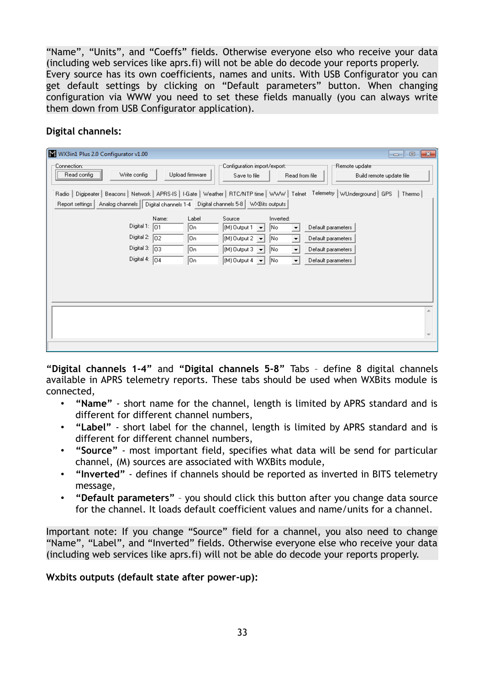"Name", "Units", and "Coeffs" fields. Otherwise everyone elso who receive your data (including web services like aprs.fi) will not be able do decode your reports properly. Every source has its own coefficients, names and units. With USB Configurator you can get default settings by clicking on "Default parameters" button. When changing configuration via WWW you need to set these fields manually (you can always write them down from USB Configurator application).

#### **Digital channels:**

| W WX3in1 Plus 2.0 Configurator v1.00                                                                                             |                                            |                                                                                                                                                                                                                                           |                                                                                                                                                                |                                           |
|----------------------------------------------------------------------------------------------------------------------------------|--------------------------------------------|-------------------------------------------------------------------------------------------------------------------------------------------------------------------------------------------------------------------------------------------|----------------------------------------------------------------------------------------------------------------------------------------------------------------|-------------------------------------------|
| Connection:1<br>Write config<br>Read config<br><del></del>                                                                       | Upload firmware                            | Configuration import/export:<br>Save to file                                                                                                                                                                                              | Read from file                                                                                                                                                 | Remote update<br>Build remote update file |
| Radio   Digipeater   Beacons   Network   APRS-IS   I-Gate   Weather   RTC/NTP time   WWW   Telnet Telemetry   WUnderground   GPS |                                            |                                                                                                                                                                                                                                           |                                                                                                                                                                | Thermo                                    |
| Report settings   Analog channels   Digital channels 1-4   Digital channels 5-8   WXBits outputs                                 |                                            |                                                                                                                                                                                                                                           |                                                                                                                                                                |                                           |
| Digital 1: $\boxed{01}$<br>Digital 2: $\boxed{02}$<br>Digital 3: $\boxed{03}$<br>Digital 4: $\boxed{04}$                         | Label<br>Name:<br> On<br>۱On<br> On<br> On | Source<br>(M) Output 1<br> No<br>$\vert \cdot \vert$<br>$\vert$ (M) Output 2 $\vert$<br> No<br>$\overline{\phantom{a}}$<br>$\vert$ (M) Output 3 $\vert$<br> No<br>$\overline{\phantom{a}}$<br>(M) Output 4<br> No<br>$\blacktriangledown$ | Inverted:<br>Default parameters<br>▼<br>Default parameters<br>$\overline{\phantom{a}}$<br>Default parameters<br>$\overline{\phantom{a}}$<br>Default parameters |                                           |
|                                                                                                                                  |                                            |                                                                                                                                                                                                                                           |                                                                                                                                                                |                                           |

**"Digital channels 1-4"** and **"Digital channels 5-8"** Tabs – define 8 digital channels available in APRS telemetry reports. These tabs should be used when WXBits module is connected,

- **"Name"** short name for the channel, length is limited by APRS standard and is different for different channel numbers,
- **"Label"** short label for the channel, length is limited by APRS standard and is different for different channel numbers,
- **"Source"** most important field, specifies what data will be send for particular channel, (M) sources are associated with WXBits module,
- **"Inverted"** defines if channels should be reported as inverted in BITS telemetry message,
- **"Default parameters"** you should click this button after you change data source for the channel. It loads default coefficient values and name/units for a channel.

Important note: If you change "Source" field for a channel, you also need to change "Name", "Label", and "Inverted" fields. Otherwise everyone else who receive your data (including web services like aprs.fi) will not be able do decode your reports properly.

#### **Wxbits outputs (default state after power-up):**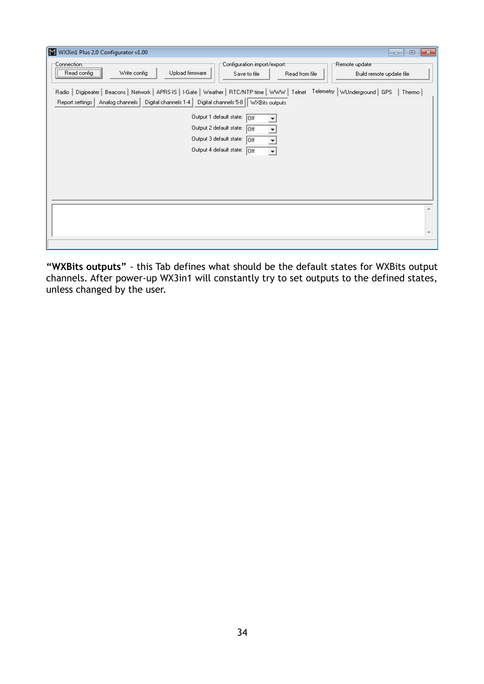| WX3in1 Plus 2.0 Configurator v1.00                                                                                                                                                                                                                                                                                                                                                                                    |  |
|-----------------------------------------------------------------------------------------------------------------------------------------------------------------------------------------------------------------------------------------------------------------------------------------------------------------------------------------------------------------------------------------------------------------------|--|
| Configuration import/export:-<br>Remote update<br>Connection: <sup>.</sup><br>,<br>Write config<br>Upload firmware<br>Read config<br>Save to file<br>Read from file<br>Build remote update file                                                                                                                                                                                                                       |  |
| Radio   Digipeater   Beacons   Network   APRS-IS   I-Gate   Weather   RTC/NTP time   WWW   Telnet Telemetry   WUnderground   GPS<br>Thermo<br>Report settings   Analog channels   Digital channels 1-4   Digital channels 5-8   WXBits outputs<br>Output 1 default state:<br>loff<br>Output 2 default state:<br>lor<br>Output 3 default state:<br>loff<br>$\overline{\phantom{a}}$<br>Output 4 default state:<br>loff |  |
| $\overline{\phantom{a}}$                                                                                                                                                                                                                                                                                                                                                                                              |  |
|                                                                                                                                                                                                                                                                                                                                                                                                                       |  |
|                                                                                                                                                                                                                                                                                                                                                                                                                       |  |

**"WXBits outputs"** - this Tab defines what should be the default states for WXBits output channels. After power-up WX3in1 will constantly try to set outputs to the defined states, unless changed by the user.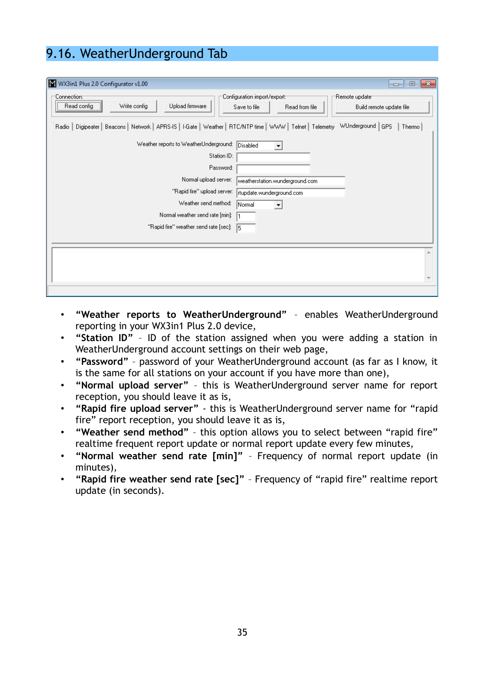# 9.16. WeatherUnderground Tab

| W WX3in1 Plus 2.0 Configurator v1.00                                                                                              | $-25$<br>▣<br>$-$                                                                                            |
|-----------------------------------------------------------------------------------------------------------------------------------|--------------------------------------------------------------------------------------------------------------|
| 'Connection:⊤<br><br>Write config<br>Upload firmware<br>Read config                                                               | Configuration import/export:1<br>Remote update<br>Read from file<br>Build remote update file<br>Save to file |
| Digipeater   Beacons   Network   APRS-IS   I-Gate   Weather   RTC/NTP time   WWW   Telnet   Telemetry WUnderground   GPS<br>Radio | Thermo                                                                                                       |
| Weather reports to WeatherUnderground: Disabled                                                                                   | ▼                                                                                                            |
| Station ID:                                                                                                                       |                                                                                                              |
| Password:                                                                                                                         |                                                                                                              |
| Normal upload server:                                                                                                             | weatherstation.wunderground.com                                                                              |
| "Rapid fire" upload server:                                                                                                       | rtupdate.wunderground.com                                                                                    |
| Weather send method:                                                                                                              | Normal                                                                                                       |
| Normal weather send rate [min]:                                                                                                   |                                                                                                              |
| "Rapid fire" weather send rate [sec]:                                                                                             | 15                                                                                                           |
|                                                                                                                                   |                                                                                                              |
|                                                                                                                                   |                                                                                                              |
|                                                                                                                                   |                                                                                                              |
|                                                                                                                                   |                                                                                                              |
|                                                                                                                                   |                                                                                                              |

- **"Weather reports to WeatherUnderground"** enables WeatherUnderground reporting in your WX3in1 Plus 2.0 device,
- **"Station ID"** ID of the station assigned when you were adding a station in WeatherUnderground account settings on their web page,
- **"Password"** password of your WeatherUnderground account (as far as I know, it is the same for all stations on your account if you have more than one),
- **"Normal upload server"** this is WeatherUnderground server name for report reception, you should leave it as is,
- **"Rapid fire upload server"** this is WeatherUnderground server name for "rapid fire" report reception, you should leave it as is,
- **"Weather send method"** this option allows you to select between "rapid fire" realtime frequent report update or normal report update every few minutes,
- **"Normal weather send rate [min]"** Frequency of normal report update (in minutes),
- **"Rapid fire weather send rate [sec]"** Frequency of "rapid fire" realtime report update (in seconds).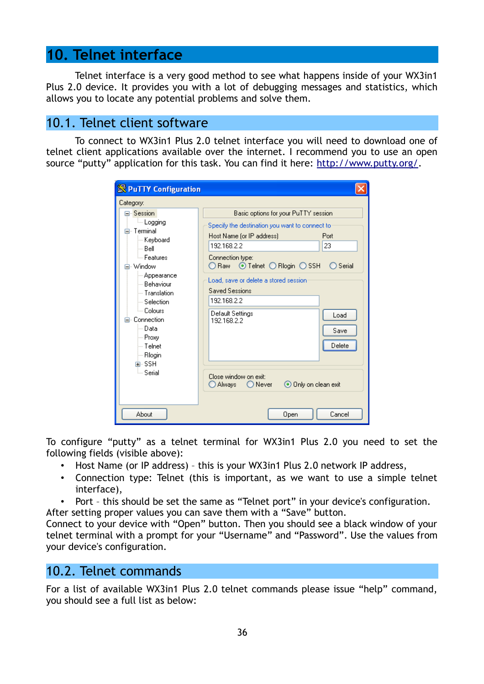## **10. Telnet interface**

Telnet interface is a very good method to see what happens inside of your WX3in1 Plus 2.0 device. It provides you with a lot of debugging messages and statistics, which allows you to locate any potential problems and solve them.

### 10.1. Telnet client software

To connect to WX3in1 Plus 2.0 telnet interface you will need to download one of telnet client applications available over the internet. I recommend you to use an open source "putty" application for this task. You can find it here: [http://www.putty.org/.](http://www.putty.org/)

| <b>S</b> PuTTY Configuration                                                                                                                                                                                                                                |                                                                                                                                                                                                                                              |
|-------------------------------------------------------------------------------------------------------------------------------------------------------------------------------------------------------------------------------------------------------------|----------------------------------------------------------------------------------------------------------------------------------------------------------------------------------------------------------------------------------------------|
| Category:                                                                                                                                                                                                                                                   |                                                                                                                                                                                                                                              |
| ⊟∝Session i<br>ille Logging<br>⊟⊹ Terminal.<br>⊱ Keyboard<br>i— Bell<br><sup>i…</sup> Features<br>- Window<br>⊱ Appearance<br>≔ Behaviour<br>— Translation.<br>└─ Selection<br>⊧— Colours<br>⊟- Connection.<br>l— Data<br>— Proxy<br>i— Telnet<br>∣— Rlogin | Basic options for your PuTTY session<br>Specify the destination you want to connect to<br>Host Name (or IP address)<br>Port<br>23<br>192.168.2.2<br>Connection type:<br>$\odot$ Telnet $\bigcirc$ Riogin $\bigcirc$ SSH<br>Serial<br>D Raw I |
|                                                                                                                                                                                                                                                             | Load, save or delete a stored session.<br><b>Saved Sessions</b><br>192.168.2.2<br>Default Settings<br>Load<br>192.168.2.2<br>Save<br>Delete                                                                                                  |
| 面- SSH<br>ं Serial<br>About                                                                                                                                                                                                                                 | Close window on exit:<br>⊙ Only on clean exit<br>D Always<br>◯ Never<br>Cancel<br>Open                                                                                                                                                       |

To configure "putty" as a telnet terminal for WX3in1 Plus 2.0 you need to set the following fields (visible above):

- Host Name (or IP address) this is your WX3in1 Plus 2.0 network IP address,
- Connection type: Telnet (this is important, as we want to use a simple telnet interface),
- Port this should be set the same as "Telnet port" in your device's configuration.

After setting proper values you can save them with a "Save" button.

Connect to your device with "Open" button. Then you should see a black window of your telnet terminal with a prompt for your "Username" and "Password". Use the values from your device's configuration.

### 10.2. Telnet commands

For a list of available WX3in1 Plus 2.0 telnet commands please issue "help" command, you should see a full list as below: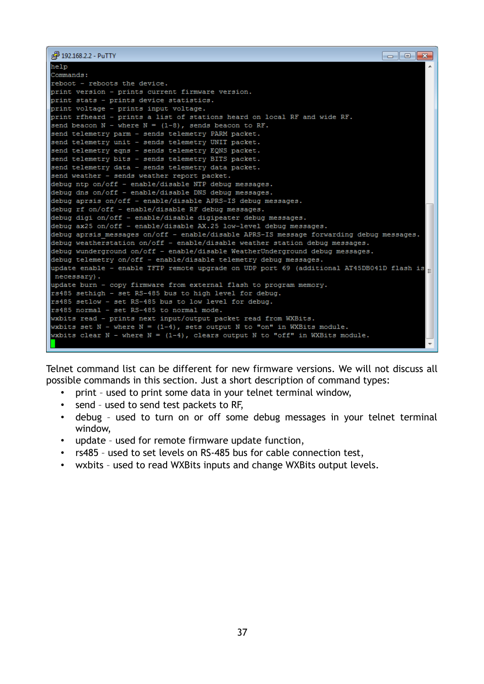```
2 192.168.2.2 - PuTTY
                                                                                \Boxek
help
Commands:
reboot - reboots the device.
print version - prints current firmware version.
print stats - prints device statistics.
print voltage - prints input voltage.
print rfheard - prints a list of stations heard on local RF and wide RF.
send beacon N - where N = (1-8), sends beacon to RF.
send telemetry parm - sends telemetry PARM packet.
send telemetry unit - sends telemetry UNIT packet.
send telemetry eqns - sends telemetry EQNS packet.
send telemetry bits - sends telemetry BITS packet.
send telemetry data - sends telemetry data packet.
send weather - sends weather report packet.
debug ntp on/off - enable/disable NTP debug messages.
debug dns on/off - enable/disable DNS debug messages.
debug aprsis on/off - enable/disable APRS-IS debug messages.
debug rf on/off - enable/disable RF debug messages.
debug digi on/off - enable/disable digipeater debug messages.
debug ax25 on/off - enable/disable AX.25 low-level debug messages.
debug aprsis messages on/off - enable/disable APRS-IS message forwarding debug messages.
debug weatherstation on/off - enable/disable weather station debug messages.
debug wunderground on/off - enable/disable WeatherUnderground debug messages.
debug telemetry on/off - enable/disable telemetry debug messages.
update enable - enable TFTP remote upgrade on UDP port 69 (additional AT45DB041D flash is
necessary).
update burn - copy firmware from external flash to program memory.
rs485 sethigh - set RS-485 bus to high level for debug.
rs485 setlow - set RS-485 bus to low level for debug.
rs485 normal - set RS-485 to normal mode.
wxbits read - prints next input/output packet read from WXBits.
wxbits set N - where N = (1-4), sets output N to "on" in WXBits module.
wxbits clear N - where N = (1-4), clears output N to "off" in WXBits module.
```
Telnet command list can be different for new firmware versions. We will not discuss all possible commands in this section. Just a short description of command types:

- print used to print some data in your telnet terminal window,
- send used to send test packets to RF,
- debug used to turn on or off some debug messages in your telnet terminal window,
- update used for remote firmware update function,
- rs485 used to set levels on RS-485 bus for cable connection test,
- wxbits used to read WXBits inputs and change WXBits output levels.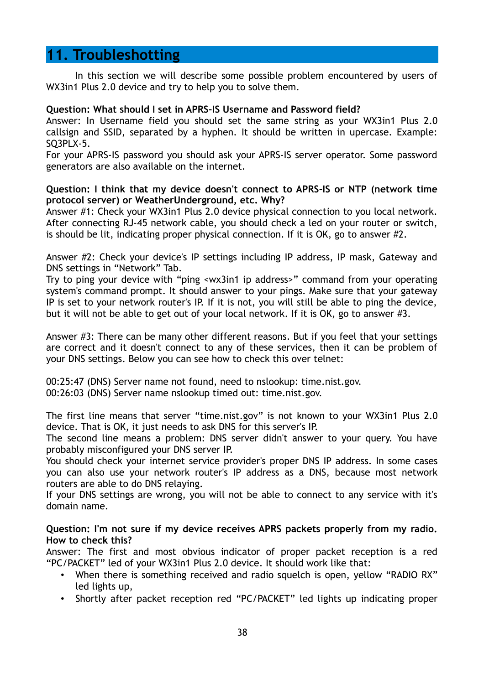### **11. Troubleshotting**

In this section we will describe some possible problem encountered by users of WX3in1 Plus 2.0 device and try to help you to solve them.

#### **Question: What should I set in APRS-IS Username and Password field?**

Answer: In Username field you should set the same string as your WX3in1 Plus 2.0 callsign and SSID, separated by a hyphen. It should be written in upercase. Example: SQ3PLX-5.

For your APRS-IS password you should ask your APRS-IS server operator. Some password generators are also available on the internet.

#### **Question: I think that my device doesn't connect to APRS-IS or NTP (network time protocol server) or WeatherUnderground, etc. Why?**

Answer #1: Check your WX3in1 Plus 2.0 device physical connection to you local network. After connecting RJ-45 network cable, you should check a led on your router or switch, is should be lit, indicating proper physical connection. If it is OK, go to answer #2.

Answer #2: Check your device's IP settings including IP address, IP mask, Gateway and DNS settings in "Network" Tab.

Try to ping your device with "ping <wx3in1 ip address>" command from your operating system's command prompt. It should answer to your pings. Make sure that your gateway IP is set to your network router's IP. If it is not, you will still be able to ping the device, but it will not be able to get out of your local network. If it is OK, go to answer #3.

Answer #3: There can be many other different reasons. But if you feel that your settings are correct and it doesn't connect to any of these services, then it can be problem of your DNS settings. Below you can see how to check this over telnet:

00:25:47 (DNS) Server name not found, need to nslookup: time.nist.gov. 00:26:03 (DNS) Server name nslookup timed out: time.nist.gov.

The first line means that server "time.nist.gov" is not known to your WX3in1 Plus 2.0 device. That is OK, it just needs to ask DNS for this server's IP.

The second line means a problem: DNS server didn't answer to your query. You have probably misconfigured your DNS server IP.

You should check your internet service provider's proper DNS IP address. In some cases you can also use your network router's IP address as a DNS, because most network routers are able to do DNS relaying.

If your DNS settings are wrong, you will not be able to connect to any service with it's domain name.

**Question: I'm not sure if my device receives APRS packets properly from my radio. How to check this?**

Answer: The first and most obvious indicator of proper packet reception is a red "PC/PACKET" led of your WX3in1 Plus 2.0 device. It should work like that:

- When there is something received and radio squelch is open, yellow "RADIO RX" led lights up,
- Shortly after packet reception red "PC/PACKET" led lights up indicating proper